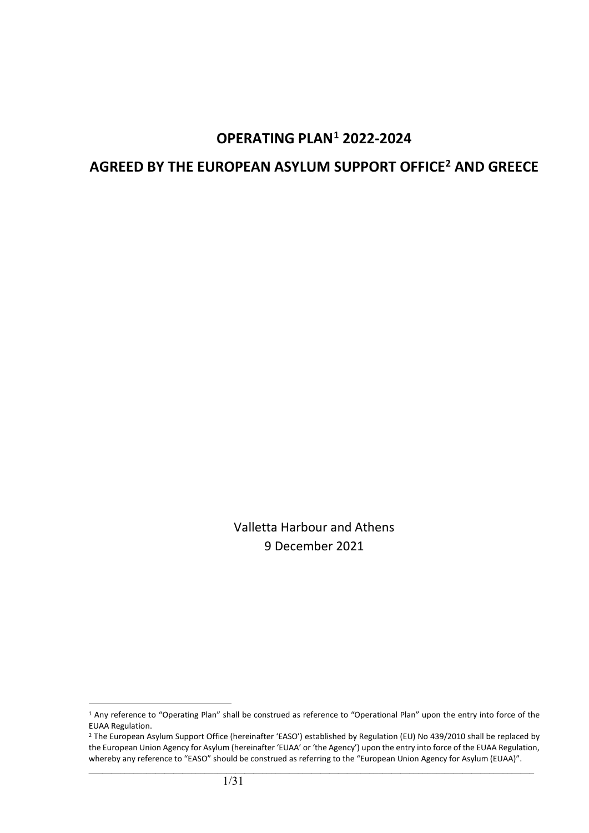# **OPERATING PLAN[1](#page-0-0) 2022-2024**

# **AGREED BY THE EUROPEAN ASYLUM SUPPORT OFFICE[2](#page-0-1) AND GREECE**

Valletta Harbour and Athens 9 December 2021

<span id="page-0-0"></span><sup>&</sup>lt;sup>1</sup> Any reference to "Operating Plan" shall be construed as reference to "Operational Plan" upon the entry into force of the EUAA Regulation.

<span id="page-0-1"></span><sup>&</sup>lt;sup>2</sup> The European Asylum Support Office (hereinafter 'EASO') established by Regulation (EU) No 439/2010 shall be replaced by the European Union Agency for Asylum (hereinafter 'EUAA' or 'the Agency') upon the entry into force of the EUAA Regulation, whereby any reference to "EASO" should be construed as referring to the "European Union Agency for Asylum (EUAA)".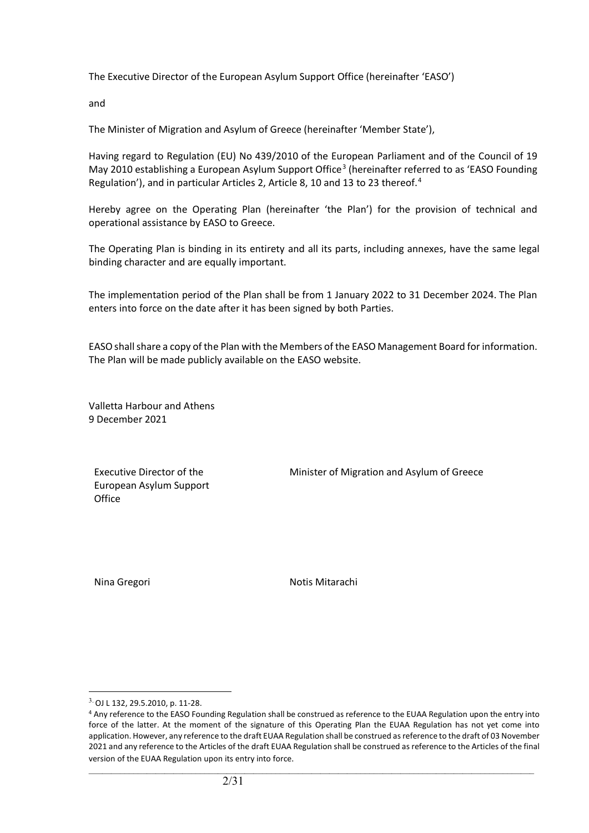The Executive Director of the European Asylum Support Office (hereinafter 'EASO')

and

The Minister of Migration and Asylum of Greece (hereinafter 'Member State'),

Having regard to Regulation (EU) No 439/2010 of the European Parliament and of the Council of 19 May 2010 establishing a European Asylum Support Office<sup>[3](#page-1-0)</sup> (hereinafter referred to as 'EASO Founding Regulation'), and in particular Articles 2, Article 8, 10 and 13 to 23 thereof.<sup>[4](#page-1-1)</sup>

Hereby agree on the Operating Plan (hereinafter 'the Plan') for the provision of technical and operational assistance by EASO to Greece.

The Operating Plan is binding in its entirety and all its parts, including annexes, have the same legal binding character and are equally important.

The implementation period of the Plan shall be from 1 January 2022 to 31 December 2024. The Plan enters into force on the date after it has been signed by both Parties.

EASO shall share a copy of the Plan with the Members of the EASO Management Board for information. The Plan will be made publicly available on the EASO website.

Valletta Harbour and Athens 9 December 2021

Executive Director of the European Asylum Support **Office** 

Minister of Migration and Asylum of Greece

Nina Gregori **Notis Mitarachi** Notis Mitarachi

<span id="page-1-0"></span><sup>3.</sup> OJ L 132, 29.5.2010, p. 11-28.

<span id="page-1-1"></span><sup>&</sup>lt;sup>4</sup> Any reference to the EASO Founding Regulation shall be construed as reference to the EUAA Regulation upon the entry into force of the latter. At the moment of the signature of this Operating Plan the EUAA Regulation has not yet come into application. However, any reference to the draft EUAA Regulation shall be construed as reference to the draft of 03 November 2021 and any reference to the Articles of the draft EUAA Regulation shall be construed as reference to the Articles of the final version of the EUAA Regulation upon its entry into force.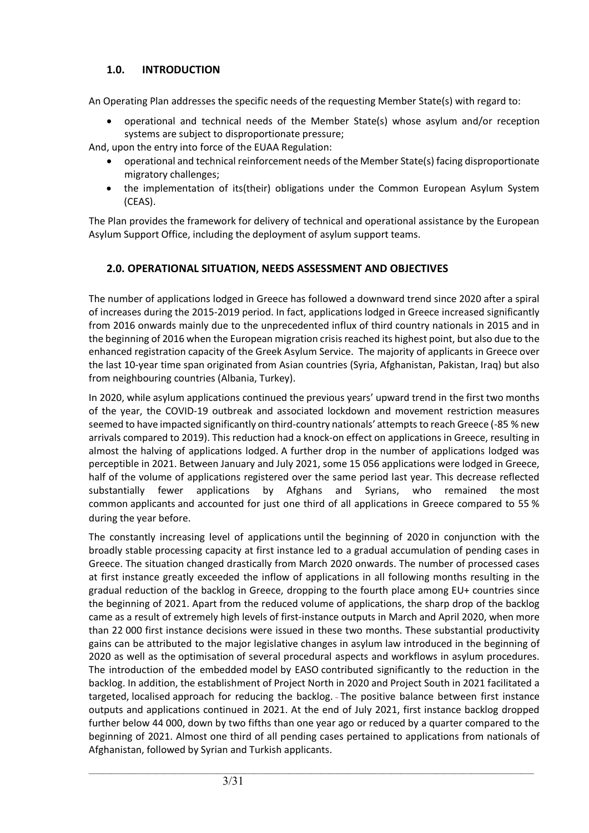## **1.0. INTRODUCTION**

An Operating Plan addresses the specific needs of the requesting Member State(s) with regard to:

• operational and technical needs of the Member State(s) whose asylum and/or reception systems are subject to disproportionate pressure;

And, upon the entry into force of the EUAA Regulation:

- operational and technical reinforcement needs of the Member State(s) facing disproportionate migratory challenges;
- the implementation of its(their) obligations under the Common European Asylum System (CEAS).

The Plan provides the framework for delivery of technical and operational assistance by the European Asylum Support Office, including the deployment of asylum support teams.

# **2.0. OPERATIONAL SITUATION, NEEDS ASSESSMENT AND OBJECTIVES**

The number of applications lodged in Greece has followed a downward trend since 2020 after a spiral of increases during the 2015-2019 period. In fact, applications lodged in Greece increased significantly from 2016 onwards mainly due to the unprecedented influx of third country nationals in 2015 and in the beginning of 2016 when the European migration crisis reached its highest point, but also due to the enhanced registration capacity of the Greek Asylum Service. The majority of applicants in Greece over the last 10-year time span originated from Asian countries (Syria, Afghanistan, Pakistan, Iraq) but also from neighbouring countries (Albania, Turkey).

In 2020, while asylum applications continued the previous years' upward trend in the first two months of the year, the COVID-19 outbreak and associated lockdown and movement restriction measures seemed to have impacted significantly on third-country nationals' attempts to reach Greece (-85 % new arrivals compared to 2019). This reduction had a knock-on effect on applications in Greece, resulting in almost the halving of applications lodged. A further drop in the number of applications lodged was perceptible in 2021. Between January and July 2021, some 15 056 applications were lodged in Greece, half of the volume of applications registered over the same period last year. This decrease reflected substantially fewer applications by Afghans and Syrians, who remained the most common applicants and accounted for just one third of all applications in Greece compared to 55 % during the year before.

The constantly increasing level of applications until the beginning of 2020 in conjunction with the broadly stable processing capacity at first instance led to a gradual accumulation of pending cases in Greece. The situation changed drastically from March 2020 onwards. The number of processed cases at first instance greatly exceeded the inflow of applications in all following months resulting in the gradual reduction of the backlog in Greece, dropping to the fourth place among EU+ countries since the beginning of 2021. Apart from the reduced volume of applications, the sharp drop of the backlog came as a result of extremely high levels of first-instance outputs in March and April 2020, when more than 22 000 first instance decisions were issued in these two months. These substantial productivity gains can be attributed to the major legislative changes in asylum law introduced in the beginning of 2020 as well as the optimisation of several procedural aspects and workflows in asylum procedures. The introduction of the embedded model by EASO contributed significantly to the reduction in the backlog. In addition, the establishment of Project North in 2020 and Project South in 2021 facilitated a targeted, localised approach for reducing the backlog. The positive balance between first instance outputs and applications continued in 2021. At the end of July 2021, first instance backlog dropped further below 44 000, down by two fifths than one year ago or reduced by a quarter compared to the beginning of 2021. Almost one third of all pending cases pertained to applications from nationals of Afghanistan, followed by Syrian and Turkish applicants.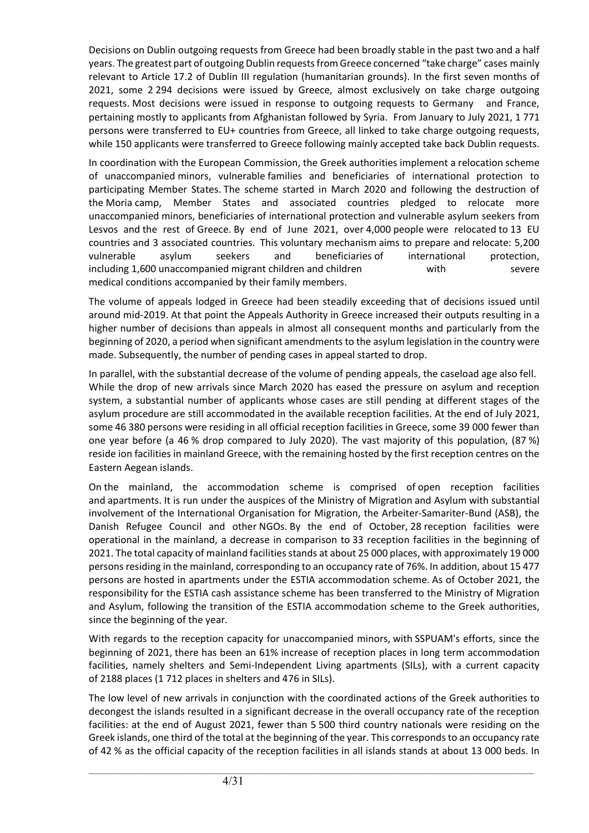Decisions on Dublin outgoing requests from Greece had been broadly stable in the past two and a half years. The greatest part of outgoing Dublin requests from Greece concerned "take charge" cases mainly relevant to Article 17.2 of Dublin III regulation (humanitarian grounds). In the first seven months of 2021, some 2 294 decisions were issued by Greece, almost exclusively on take charge outgoing requests. Most decisions were issued in response to outgoing requests to Germany and France, pertaining mostly to applicants from Afghanistan followed by Syria. From January to July 2021, 1 771 persons were transferred to EU+ countries from Greece, all linked to take charge outgoing requests, while 150 applicants were transferred to Greece following mainly accepted take back Dublin requests.

In coordination with the European Commission, the Greek authorities implement a relocation scheme of unaccompanied minors, vulnerable families and beneficiaries of international protection to participating Member States. The scheme started in March 2020 and following the destruction of the Moria camp, Member States and associated countries pledged to relocate more unaccompanied minors, beneficiaries of international protection and vulnerable asylum seekers from Lesvos and the rest of Greece. By end of June 2021, over 4,000 people were relocated to 13 EU countries and 3 associated countries. This voluntary mechanism aims to prepare and relocate: 5,200 vulnerable asylum seekers and beneficiaries of international protection, including 1,600 unaccompanied migrant children and children with severe medical conditions accompanied by their family members.

The volume of appeals lodged in Greece had been steadily exceeding that of decisions issued until around mid-2019. At that point the Appeals Authority in Greece increased their outputs resulting in a higher number of decisions than appeals in almost all consequent months and particularly from the beginning of 2020, a period when significant amendments to the asylum legislation in the country were made. Subsequently, the number of pending cases in appeal started to drop.

In parallel, with the substantial decrease of the volume of pending appeals, the caseload age also fell. While the drop of new arrivals since March 2020 has eased the pressure on asylum and reception system, a substantial number of applicants whose cases are still pending at different stages of the asylum procedure are still accommodated in the available reception facilities. At the end of July 2021, some 46 380 persons were residing in all official reception facilities in Greece, some 39 000 fewer than one year before (a 46 % drop compared to July 2020). The vast majority of this population, (87 %) reside ion facilities in mainland Greece, with the remaining hosted by the first reception centres on the Eastern Aegean islands.

On the mainland, the accommodation scheme is comprised of open reception facilities and apartments. It is run under the auspices of the Ministry of Migration and Asylum with substantial involvement of the International Organisation for Migration, the Arbeiter-Samariter-Bund (ASB), the Danish Refugee Council and other NGOs. By the end of October, 28 reception facilities were operational in the mainland, a decrease in comparison to 33 reception facilities in the beginning of 2021. The total capacity of mainland facilities stands at about 25 000 places, with approximately 19 000 persons residing in the mainland, corresponding to an occupancy rate of 76%. In addition, about 15 477 persons are hosted in apartments under the ESTIA accommodation scheme. As of October 2021, the responsibility for the ESTIA cash assistance scheme has been transferred to the Ministry of Migration and Asylum, following the transition of the ESTIA accommodation scheme to the Greek authorities, since the beginning of the year.

With regards to the reception capacity for unaccompanied minors, with SSPUAM's efforts, since the beginning of 2021, there has been an 61% increase of reception places in long term accommodation facilities, namely shelters and Semi-Independent Living apartments (SILs), with a current capacity of 2188 places (1 712 places in shelters and 476 in SILs).

The low level of new arrivals in conjunction with the coordinated actions of the Greek authorities to decongest the islands resulted in a significant decrease in the overall occupancy rate of the reception facilities: at the end of August 2021, fewer than 5 500 third country nationals were residing on the Greek islands, one third of the total at the beginning of the year. This corresponds to an occupancy rate of 42 % as the official capacity of the reception facilities in all islands stands at about 13 000 beds. In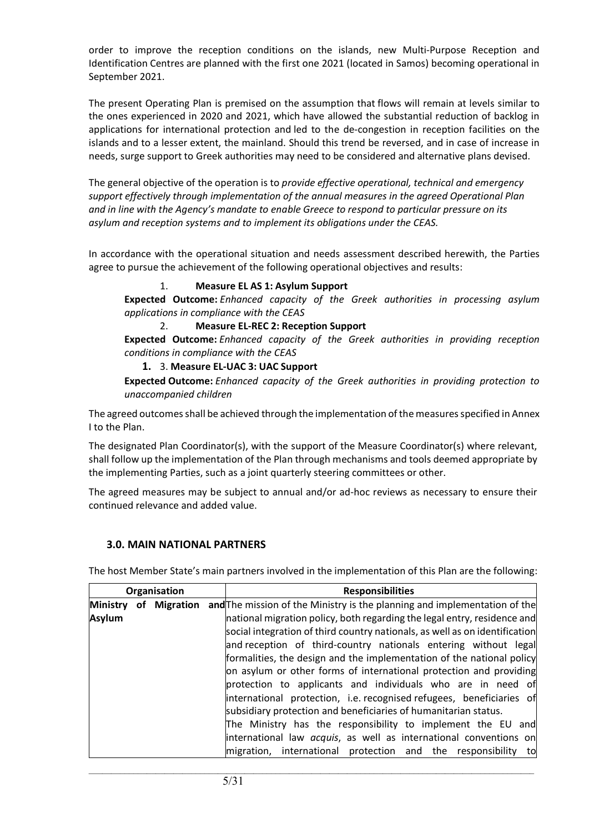order to improve the reception conditions on the islands, new Multi-Purpose Reception and Identification Centres are planned with the first one 2021 (located in Samos) becoming operational in September 2021.

The present Operating Plan is premised on the assumption that flows will remain at levels similar to the ones experienced in 2020 and 2021, which have allowed the substantial reduction of backlog in applications for international protection and led to the de-congestion in reception facilities on the islands and to a lesser extent, the mainland. Should this trend be reversed, and in case of increase in needs, surge support to Greek authorities may need to be considered and alternative plans devised.

The general objective of the operation is to *provide effective operational, technical and emergency support effectively through implementation of the annual measures in the agreed Operational Plan and in line with the Agency's mandate to enable Greece to respond to particular pressure on its asylum and reception systems and to implement its obligations under the CEAS.*

In accordance with the operational situation and needs assessment described herewith, the Parties agree to pursue the achievement of the following operational objectives and results:

#### 1. **Measure EL AS 1: Asylum Support**

**Expected Outcome:** *Enhanced capacity of the Greek authorities in processing asylum applications in compliance with the CEAS*

#### 2. **Measure EL-REC 2: Reception Support**

**Expected Outcome:** *Enhanced capacity of the Greek authorities in providing reception conditions in compliance with the CEAS*

#### **1.** 3. **Measure EL-UAC 3: UAC Support**

**Expected Outcome:** *Enhanced capacity of the Greek authorities in providing protection to unaccompanied children* 

The agreed outcomes shall be achieved through the implementation of the measures specified in Annex I to the Plan.

The designated Plan Coordinator(s), with the support of the Measure Coordinator(s) where relevant, shall follow up the implementation of the Plan through mechanisms and tools deemed appropriate by the implementing Parties, such as a joint quarterly steering committees or other.

The agreed measures may be subject to annual and/or ad-hoc reviews as necessary to ensure their continued relevance and added value.

## **3.0. MAIN NATIONAL PARTNERS**

The host Member State's main partners involved in the implementation of this Plan are the following:

| Organisation    |  | <b>Responsibilities</b> |                                                                             |
|-----------------|--|-------------------------|-----------------------------------------------------------------------------|
| <b>Ministry</b> |  | of Migration            | and The mission of the Ministry is the planning and implementation of the   |
| <b>Asylum</b>   |  |                         | national migration policy, both regarding the legal entry, residence and    |
|                 |  |                         | social integration of third country nationals, as well as on identification |
|                 |  |                         | and reception of third-country nationals entering without legal             |
|                 |  |                         | formalities, the design and the implementation of the national policy       |
|                 |  |                         | on asylum or other forms of international protection and providing          |
|                 |  |                         | protection to applicants and individuals who are in need of                 |
|                 |  |                         | international protection, i.e. recognised refugees, beneficiaries of        |
|                 |  |                         | subsidiary protection and beneficiaries of humanitarian status.             |
|                 |  |                         | The Ministry has the responsibility to implement the EU and                 |
|                 |  |                         | international law <i>acquis</i> , as well as international conventions on   |
|                 |  |                         | migration, international protection and the responsibility<br>to            |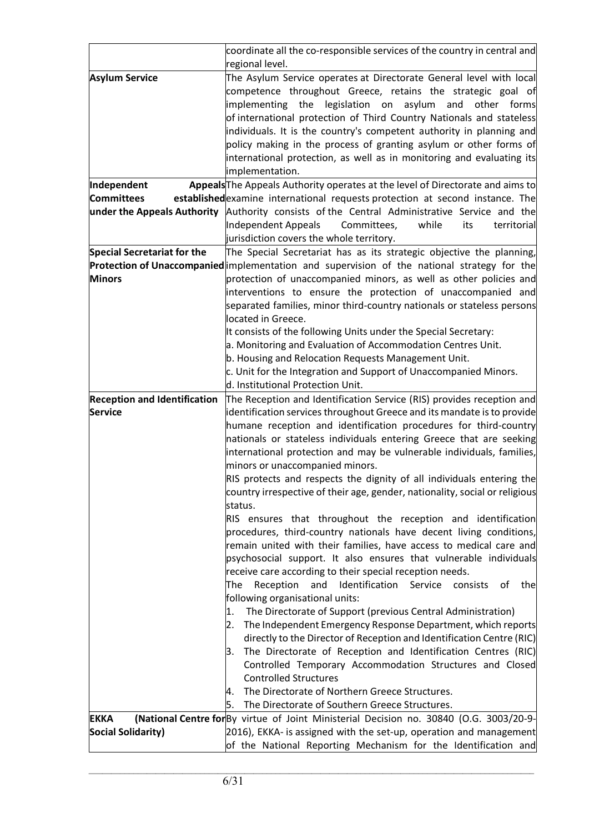|                                     | coordinate all the co-responsible services of the country in central and<br>regional level.                                                                                                                                                                                                                                                                                                                                                                                                                               |
|-------------------------------------|---------------------------------------------------------------------------------------------------------------------------------------------------------------------------------------------------------------------------------------------------------------------------------------------------------------------------------------------------------------------------------------------------------------------------------------------------------------------------------------------------------------------------|
| <b>Asylum Service</b>               | The Asylum Service operates at Directorate General level with local<br>competence throughout Greece, retains the strategic goal of<br>legislation on asylum<br>implementing<br>the<br>and<br>other forms<br>of international protection of Third Country Nationals and stateless<br>individuals. It is the country's competent authority in planning and<br>policy making in the process of granting asylum or other forms of<br>international protection, as well as in monitoring and evaluating its<br>implementation. |
| Independent                         | Appeals The Appeals Authority operates at the level of Directorate and aims to                                                                                                                                                                                                                                                                                                                                                                                                                                            |
| <b>Committees</b>                   | established examine international requests protection at second instance. The                                                                                                                                                                                                                                                                                                                                                                                                                                             |
| under the Appeals Authority         | Authority consists of the Central Administrative Service and the                                                                                                                                                                                                                                                                                                                                                                                                                                                          |
|                                     | Independent Appeals<br>Committees,<br>while<br>territorial<br>its<br>jurisdiction covers the whole territory.                                                                                                                                                                                                                                                                                                                                                                                                             |
| <b>Special Secretariat for the</b>  | The Special Secretariat has as its strategic objective the planning,                                                                                                                                                                                                                                                                                                                                                                                                                                                      |
|                                     | Protection of Unaccompanied implementation and supervision of the national strategy for the                                                                                                                                                                                                                                                                                                                                                                                                                               |
| <b>Minors</b>                       | protection of unaccompanied minors, as well as other policies and                                                                                                                                                                                                                                                                                                                                                                                                                                                         |
|                                     | interventions to ensure the protection of unaccompanied and                                                                                                                                                                                                                                                                                                                                                                                                                                                               |
|                                     | separated families, minor third-country nationals or stateless persons                                                                                                                                                                                                                                                                                                                                                                                                                                                    |
|                                     | located in Greece.                                                                                                                                                                                                                                                                                                                                                                                                                                                                                                        |
|                                     | It consists of the following Units under the Special Secretary:                                                                                                                                                                                                                                                                                                                                                                                                                                                           |
|                                     | a. Monitoring and Evaluation of Accommodation Centres Unit.                                                                                                                                                                                                                                                                                                                                                                                                                                                               |
|                                     | b. Housing and Relocation Requests Management Unit.                                                                                                                                                                                                                                                                                                                                                                                                                                                                       |
|                                     | c. Unit for the Integration and Support of Unaccompanied Minors.                                                                                                                                                                                                                                                                                                                                                                                                                                                          |
|                                     | d. Institutional Protection Unit.                                                                                                                                                                                                                                                                                                                                                                                                                                                                                         |
| <b>Reception and Identification</b> | The Reception and Identification Service (RIS) provides reception and                                                                                                                                                                                                                                                                                                                                                                                                                                                     |
| Service                             | identification services throughout Greece and its mandate is to provide                                                                                                                                                                                                                                                                                                                                                                                                                                                   |
|                                     | humane reception and identification procedures for third-country                                                                                                                                                                                                                                                                                                                                                                                                                                                          |
|                                     | nationals or stateless individuals entering Greece that are seeking                                                                                                                                                                                                                                                                                                                                                                                                                                                       |
|                                     | international protection and may be vulnerable individuals, families,<br>minors or unaccompanied minors.                                                                                                                                                                                                                                                                                                                                                                                                                  |
|                                     | RIS protects and respects the dignity of all individuals entering the                                                                                                                                                                                                                                                                                                                                                                                                                                                     |
|                                     | country irrespective of their age, gender, nationality, social or religious<br>status.                                                                                                                                                                                                                                                                                                                                                                                                                                    |
|                                     | RIS ensures that throughout the reception and identification                                                                                                                                                                                                                                                                                                                                                                                                                                                              |
|                                     | procedures, third-country nationals have decent living conditions,                                                                                                                                                                                                                                                                                                                                                                                                                                                        |
|                                     | remain united with their families, have access to medical care and                                                                                                                                                                                                                                                                                                                                                                                                                                                        |
|                                     | psychosocial support. It also ensures that vulnerable individuals                                                                                                                                                                                                                                                                                                                                                                                                                                                         |
|                                     | receive care according to their special reception needs.                                                                                                                                                                                                                                                                                                                                                                                                                                                                  |
|                                     | Identification<br>The<br>Reception<br>and<br>Service<br>consists of<br>the                                                                                                                                                                                                                                                                                                                                                                                                                                                |
|                                     | following organisational units:<br>The Directorate of Support (previous Central Administration)                                                                                                                                                                                                                                                                                                                                                                                                                           |
|                                     | 1.<br>The Independent Emergency Response Department, which reports<br>2.                                                                                                                                                                                                                                                                                                                                                                                                                                                  |
|                                     | directly to the Director of Reception and Identification Centre (RIC)                                                                                                                                                                                                                                                                                                                                                                                                                                                     |
|                                     | The Directorate of Reception and Identification Centres (RIC)<br>3.                                                                                                                                                                                                                                                                                                                                                                                                                                                       |
|                                     | Controlled Temporary Accommodation Structures and Closed                                                                                                                                                                                                                                                                                                                                                                                                                                                                  |
|                                     | <b>Controlled Structures</b>                                                                                                                                                                                                                                                                                                                                                                                                                                                                                              |
|                                     | The Directorate of Northern Greece Structures.<br>4.                                                                                                                                                                                                                                                                                                                                                                                                                                                                      |
|                                     | The Directorate of Southern Greece Structures.<br>5.                                                                                                                                                                                                                                                                                                                                                                                                                                                                      |
| <b>EKKA</b>                         | (National Centre for By virtue of Joint Ministerial Decision no. 30840 (O.G. 3003/20-9-                                                                                                                                                                                                                                                                                                                                                                                                                                   |
| <b>Social Solidarity)</b>           | 2016), EKKA- is assigned with the set-up, operation and management                                                                                                                                                                                                                                                                                                                                                                                                                                                        |
|                                     | of the National Reporting Mechanism for the Identification and                                                                                                                                                                                                                                                                                                                                                                                                                                                            |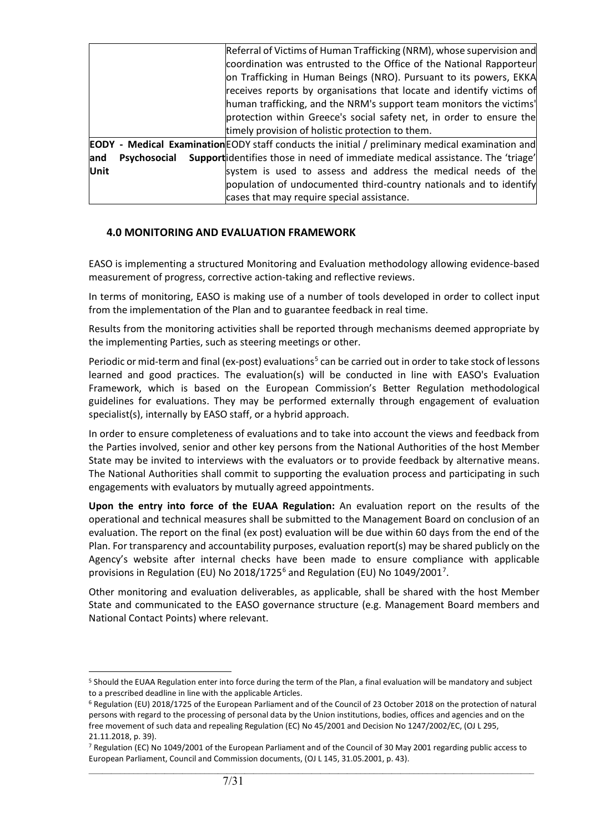|                             | Referral of Victims of Human Trafficking (NRM), whose supervision and                                   |
|-----------------------------|---------------------------------------------------------------------------------------------------------|
|                             | coordination was entrusted to the Office of the National Rapporteur                                     |
|                             | on Trafficking in Human Beings (NRO). Pursuant to its powers, EKKA                                      |
|                             | receives reports by organisations that locate and identify victims of                                   |
|                             | human trafficking, and the NRM's support team monitors the victims'                                     |
|                             | protection within Greece's social safety net, in order to ensure the                                    |
|                             | timely provision of holistic protection to them.                                                        |
|                             | <b>EODY</b> - Medical Examination EODY staff conducts the initial / preliminary medical examination and |
| <b>Psychosocial</b><br>land | Supportidentifies those in need of immediate medical assistance. The 'triage'                           |
| Unit                        | system is used to assess and address the medical needs of the                                           |
|                             | population of undocumented third-country nationals and to identify                                      |
|                             | cases that may require special assistance.                                                              |

## **4.0 MONITORING AND EVALUATION FRAMEWORK**

EASO is implementing a structured Monitoring and Evaluation methodology allowing evidence-based measurement of progress, corrective action-taking and reflective reviews.

In terms of monitoring, EASO is making use of a number of tools developed in order to collect input from the implementation of the Plan and to guarantee feedback in real time.

Results from the monitoring activities shall be reported through mechanisms deemed appropriate by the implementing Parties, such as steering meetings or other.

Periodic or mid-term and final (ex-post) evaluations<sup>[5](#page-6-0)</sup> can be carried out in order to take stock of lessons learned and good practices. The evaluation(s) will be conducted in line with EASO's Evaluation Framework, which is based on the European Commission's Better Regulation methodological guidelines for evaluations. They may be performed externally through engagement of evaluation specialist(s), internally by EASO staff, or a hybrid approach.

In order to ensure completeness of evaluations and to take into account the views and feedback from the Parties involved, senior and other key persons from the National Authorities of the host Member State may be invited to interviews with the evaluators or to provide feedback by alternative means. The National Authorities shall commit to supporting the evaluation process and participating in such engagements with evaluators by mutually agreed appointments.

**Upon the entry into force of the EUAA Regulation:** An evaluation report on the results of the operational and technical measures shall be submitted to the Management Board on conclusion of an evaluation. The report on the final (ex post) evaluation will be due within 60 days from the end of the Plan. For transparency and accountability purposes, evaluation report(s) may be shared publicly on the Agency's website after internal checks have been made to ensure compliance with applicable provisions in Regulation (EU) No 2018/1725<sup>[6](#page-6-1)</sup> and Regulation (EU) No 1049/2001<sup>[7](#page-6-2)</sup>.

Other monitoring and evaluation deliverables, as applicable, shall be shared with the host Member State and communicated to the EASO governance structure (e.g. Management Board members and National Contact Points) where relevant.

<span id="page-6-0"></span><sup>5</sup> Should the EUAA Regulation enter into force during the term of the Plan, a final evaluation will be mandatory and subject to a prescribed deadline in line with the applicable Articles.

<span id="page-6-1"></span><sup>6</sup> Regulation (EU) 2018/1725 of the European Parliament and of the Council of 23 October 2018 on the protection of natural persons with regard to the processing of personal data by the Union institutions, bodies, offices and agencies and on the free movement of such data and repealing Regulation (EC) No 45/2001 and Decision No 1247/2002/EC, (OJ L 295, 21.11.2018, p. 39).

<span id="page-6-2"></span> $\_$  ,  $\_$  ,  $\_$  ,  $\_$  ,  $\_$  ,  $\_$  ,  $\_$  ,  $\_$  ,  $\_$  ,  $\_$  ,  $\_$  ,  $\_$  ,  $\_$  ,  $\_$  ,  $\_$  ,  $\_$  ,  $\_$  ,  $\_$  ,  $\_$  ,  $\_$  ,  $\_$  ,  $\_$  ,  $\_$  ,  $\_$  ,  $\_$  ,  $\_$  ,  $\_$  ,  $\_$  ,  $\_$  ,  $\_$  ,  $\_$  ,  $\_$  ,  $\_$  ,  $\_$  ,  $\_$  ,  $\_$  ,  $\_$  , <sup>7</sup> Regulation (EC) No 1049/2001 of the European Parliament and of the Council of 30 May 2001 regarding public access to European Parliament, Council and Commission documents, (OJ L 145, 31.05.2001, p. 43).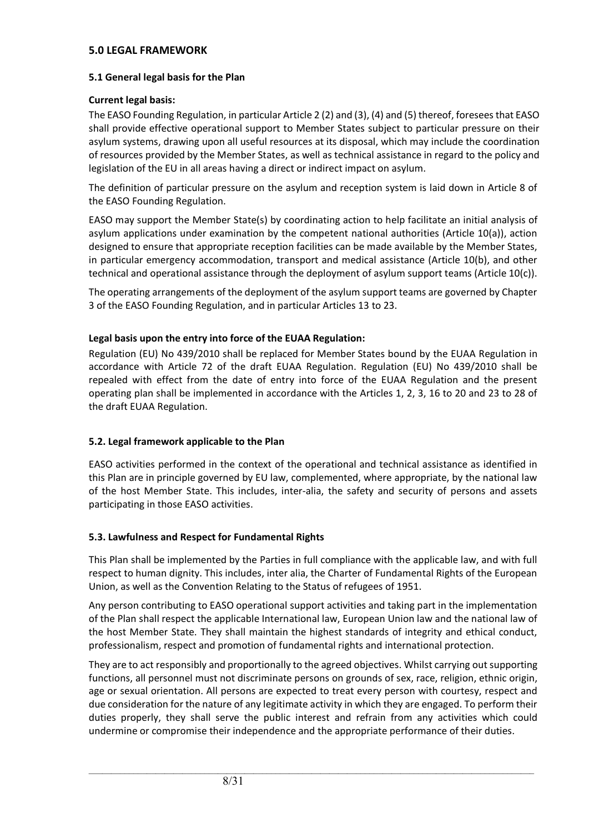#### **5.0 LEGAL FRAMEWORK**

## **5.1 General legal basis for the Plan**

## **Current legal basis:**

The EASO Founding Regulation, in particular Article 2 (2) and (3), (4) and (5) thereof, foresees that EASO shall provide effective operational support to Member States subject to particular pressure on their asylum systems, drawing upon all useful resources at its disposal, which may include the coordination of resources provided by the Member States, as well as technical assistance in regard to the policy and legislation of the EU in all areas having a direct or indirect impact on asylum.

The definition of particular pressure on the asylum and reception system is laid down in Article 8 of the EASO Founding Regulation.

EASO may support the Member State(s) by coordinating action to help facilitate an initial analysis of asylum applications under examination by the competent national authorities (Article 10(a)), action designed to ensure that appropriate reception facilities can be made available by the Member States, in particular emergency accommodation, transport and medical assistance (Article 10(b), and other technical and operational assistance through the deployment of asylum support teams (Article 10(c)).

The operating arrangements of the deployment of the asylum support teams are governed by Chapter 3 of the EASO Founding Regulation, and in particular Articles 13 to 23.

## **Legal basis upon the entry into force of the EUAA Regulation:**

Regulation (EU) No 439/2010 shall be replaced for Member States bound by the EUAA Regulation in accordance with Article 72 of the draft EUAA Regulation. Regulation (EU) No 439/2010 shall be repealed with effect from the date of entry into force of the EUAA Regulation and the present operating plan shall be implemented in accordance with the Articles 1, 2, 3, 16 to 20 and 23 to 28 of the draft EUAA Regulation.

## **5.2. Legal framework applicable to the Plan**

EASO activities performed in the context of the operational and technical assistance as identified in this Plan are in principle governed by EU law, complemented, where appropriate, by the national law of the host Member State. This includes, inter-alia, the safety and security of persons and assets participating in those EASO activities.

## **5.3. Lawfulness and Respect for Fundamental Rights**

This Plan shall be implemented by the Parties in full compliance with the applicable law, and with full respect to human dignity. This includes, inter alia, the Charter of Fundamental Rights of the European Union, as well as the Convention Relating to the Status of refugees of 1951.

Any person contributing to EASO operational support activities and taking part in the implementation of the Plan shall respect the applicable International law, European Union law and the national law of the host Member State. They shall maintain the highest standards of integrity and ethical conduct, professionalism, respect and promotion of fundamental rights and international protection.

They are to act responsibly and proportionally to the agreed objectives. Whilst carrying out supporting functions, all personnel must not discriminate persons on grounds of sex, race, religion, ethnic origin, age or sexual orientation. All persons are expected to treat every person with courtesy, respect and due consideration for the nature of any legitimate activity in which they are engaged. To perform their duties properly, they shall serve the public interest and refrain from any activities which could undermine or compromise their independence and the appropriate performance of their duties.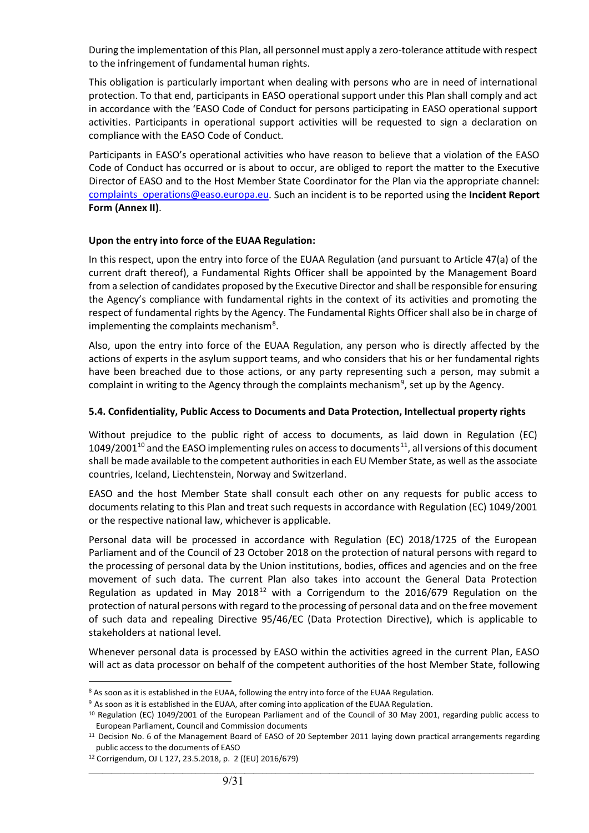During the implementation of this Plan, all personnel must apply a zero-tolerance attitude with respect to the infringement of fundamental human rights.

This obligation is particularly important when dealing with persons who are in need of international protection. To that end, participants in EASO operational support under this Plan shall comply and act in accordance with the 'EASO Code of Conduct for persons participating in EASO operational support activities. Participants in operational support activities will be requested to sign a declaration on compliance with the EASO Code of Conduct.

Participants in EASO's operational activities who have reason to believe that a violation of the EASO Code of Conduct has occurred or is about to occur, are obliged to report the matter to the Executive Director of EASO and to the Host Member State Coordinator for the Plan via the appropriate channel: [complaints\\_operations@easo.europa.eu.](mailto:complaints_operations@easo.europa.eu) Such an incident is to be reported using the **Incident Report Form (Annex II)**.

## **Upon the entry into force of the EUAA Regulation:**

In this respect, upon the entry into force of the EUAA Regulation (and pursuant to Article 47(a) of the current draft thereof), a Fundamental Rights Officer shall be appointed by the Management Board from a selection of candidates proposed by the Executive Director and shall be responsible for ensuring the Agency's compliance with fundamental rights in the context of its activities and promoting the respect of fundamental rights by the Agency. The Fundamental Rights Officer shall also be in charge of implementing the complaints mechanism<sup>[8](#page-8-0)</sup>.

Also, upon the entry into force of the EUAA Regulation, any person who is directly affected by the actions of experts in the asylum support teams, and who considers that his or her fundamental rights have been breached due to those actions, or any party representing such a person, may submit a complaint in writing to the Agency through the complaints mechanism<sup>[9](#page-8-1)</sup>, set up by the Agency.

#### **5.4. Confidentiality, Public Access to Documents and Data Protection, Intellectual property rights**

Without prejudice to the public right of access to documents, as laid down in Regulation (EC)  $1049/2001^{10}$  $1049/2001^{10}$  and the EASO implementing rules on access to documents<sup>[11](#page-8-3)</sup>, all versions of this document shall be made available to the competent authorities in each EU Member State, as well as the associate countries, Iceland, Liechtenstein, Norway and Switzerland.

EASO and the host Member State shall consult each other on any requests for public access to documents relating to this Plan and treat such requests in accordance with Regulation (EC) 1049/2001 or the respective national law, whichever is applicable.

Personal data will be processed in accordance with Regulation (EC) 2018/1725 of the European Parliament and of the Council of 23 October 2018 on the protection of natural persons with regard to the processing of personal data by the Union institutions, bodies, offices and agencies and on the free movement of such data. The current Plan also takes into account the General Data Protection Regulation as updated in May 2018<sup>[12](#page-8-4)</sup> with a Corrigendum to the 2016/679 Regulation on the protection of natural persons with regard to the processing of personal data and on the free movement of such data and repealing Directive 95/46/EC (Data Protection Directive), which is applicable to stakeholders at national level.

Whenever personal data is processed by EASO within the activities agreed in the current Plan, EASO will act as data processor on behalf of the competent authorities of the host Member State, following

<span id="page-8-0"></span><sup>8</sup> As soon as it is established in the EUAA, following the entry into force of the EUAA Regulation.

<span id="page-8-1"></span><sup>9</sup> As soon as it is established in the EUAA, after coming into application of the EUAA Regulation.

<span id="page-8-2"></span><sup>10</sup> Regulation (EC) 1049/2001 of the European Parliament and of the Council of 30 May 2001, regarding public access to European Parliament, Council and Commission documents

<span id="page-8-3"></span><sup>11</sup> Decision No. 6 of the Management Board of EASO of 20 September 2011 laying down practical arrangements regarding public access to the documents of EASO

<span id="page-8-4"></span><sup>12</sup> Corrigendum, OJ L 127, 23.5.2018, p. 2 ((EU) 2016/679)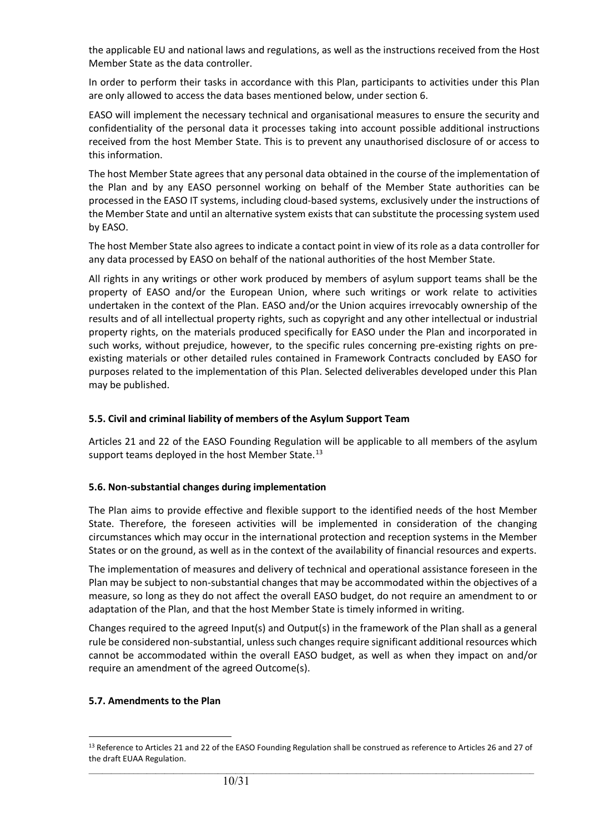the applicable EU and national laws and regulations, as well as the instructions received from the Host Member State as the data controller.

In order to perform their tasks in accordance with this Plan, participants to activities under this Plan are only allowed to access the data bases mentioned below, under section 6.

EASO will implement the necessary technical and organisational measures to ensure the security and confidentiality of the personal data it processes taking into account possible additional instructions received from the host Member State. This is to prevent any unauthorised disclosure of or access to this information.

The host Member State agrees that any personal data obtained in the course of the implementation of the Plan and by any EASO personnel working on behalf of the Member State authorities can be processed in the EASO IT systems, including cloud-based systems, exclusively under the instructions of the Member State and until an alternative system exists that can substitute the processing system used by EASO.

The host Member State also agrees to indicate a contact point in view of its role as a data controller for any data processed by EASO on behalf of the national authorities of the host Member State.

All rights in any writings or other work produced by members of asylum support teams shall be the property of EASO and/or the European Union, where such writings or work relate to activities undertaken in the context of the Plan. EASO and/or the Union acquires irrevocably ownership of the results and of all intellectual property rights, such as copyright and any other intellectual or industrial property rights, on the materials produced specifically for EASO under the Plan and incorporated in such works, without prejudice, however, to the specific rules concerning pre-existing rights on preexisting materials or other detailed rules contained in Framework Contracts concluded by EASO for purposes related to the implementation of this Plan. Selected deliverables developed under this Plan may be published.

#### **5.5. Civil and criminal liability of members of the Asylum Support Team**

Articles 21 and 22 of the EASO Founding Regulation will be applicable to all members of the asylum support teams deployed in the host Member State.<sup>[13](#page-9-0)</sup>

#### **5.6. Non-substantial changes during implementation**

The Plan aims to provide effective and flexible support to the identified needs of the host Member State. Therefore, the foreseen activities will be implemented in consideration of the changing circumstances which may occur in the international protection and reception systems in the Member States or on the ground, as well as in the context of the availability of financial resources and experts.

The implementation of measures and delivery of technical and operational assistance foreseen in the Plan may be subject to non-substantial changes that may be accommodated within the objectives of a measure, so long as they do not affect the overall EASO budget, do not require an amendment to or adaptation of the Plan, and that the host Member State is timely informed in writing.

Changes required to the agreed Input(s) and Output(s) in the framework of the Plan shall as a general rule be considered non-substantial, unless such changes require significant additional resources which cannot be accommodated within the overall EASO budget, as well as when they impact on and/or require an amendment of the agreed Outcome(s).

#### **5.7. Amendments to the Plan**

<span id="page-9-0"></span> $\_$  ,  $\_$  ,  $\_$  ,  $\_$  ,  $\_$  ,  $\_$  ,  $\_$  ,  $\_$  ,  $\_$  ,  $\_$  ,  $\_$  ,  $\_$  ,  $\_$  ,  $\_$  ,  $\_$  ,  $\_$  ,  $\_$  ,  $\_$  ,  $\_$  ,  $\_$  ,  $\_$  ,  $\_$  ,  $\_$  ,  $\_$  ,  $\_$  ,  $\_$  ,  $\_$  ,  $\_$  ,  $\_$  ,  $\_$  ,  $\_$  ,  $\_$  ,  $\_$  ,  $\_$  ,  $\_$  ,  $\_$  ,  $\_$  , 13 Reference to Articles 21 and 22 of the EASO Founding Regulation shall be construed as reference to Articles 26 and 27 of the draft EUAA Regulation.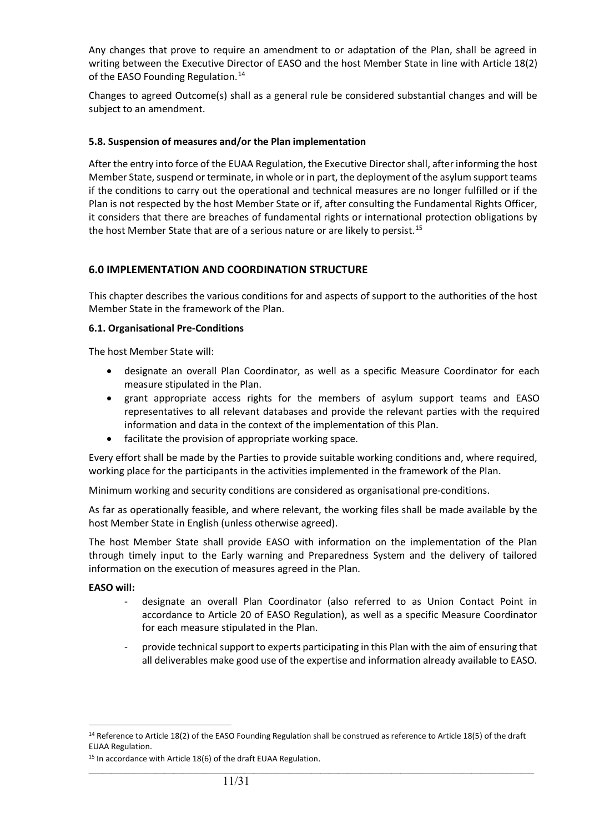Any changes that prove to require an amendment to or adaptation of the Plan, shall be agreed in writing between the Executive Director of EASO and the host Member State in line with Article 18(2) of the EASO Founding Regulation.<sup>[14](#page-10-0)</sup>

Changes to agreed Outcome(s) shall as a general rule be considered substantial changes and will be subject to an amendment.

#### **5.8. Suspension of measures and/or the Plan implementation**

After the entry into force of the EUAA Regulation, the Executive Director shall, after informing the host Member State, suspend or terminate, in whole or in part, the deployment of the asylum support teams if the conditions to carry out the operational and technical measures are no longer fulfilled or if the Plan is not respected by the host Member State or if, after consulting the Fundamental Rights Officer, it considers that there are breaches of fundamental rights or international protection obligations by the host Member State that are of a serious nature or are likely to persist.<sup>[15](#page-10-1)</sup>

## **6.0 IMPLEMENTATION AND COORDINATION STRUCTURE**

This chapter describes the various conditions for and aspects of support to the authorities of the host Member State in the framework of the Plan.

#### **6.1. Organisational Pre-Conditions**

The host Member State will:

- designate an overall Plan Coordinator, as well as a specific Measure Coordinator for each measure stipulated in the Plan.
- grant appropriate access rights for the members of asylum support teams and EASO representatives to all relevant databases and provide the relevant parties with the required information and data in the context of the implementation of this Plan.
- facilitate the provision of appropriate working space.

Every effort shall be made by the Parties to provide suitable working conditions and, where required, working place for the participants in the activities implemented in the framework of the Plan.

Minimum working and security conditions are considered as organisational pre-conditions.

As far as operationally feasible, and where relevant, the working files shall be made available by the host Member State in English (unless otherwise agreed).

The host Member State shall provide EASO with information on the implementation of the Plan through timely input to the Early warning and Preparedness System and the delivery of tailored information on the execution of measures agreed in the Plan.

#### **EASO will:**

- designate an overall Plan Coordinator (also referred to as Union Contact Point in accordance to Article 20 of EASO Regulation), as well as a specific Measure Coordinator for each measure stipulated in the Plan.
- provide technical support to experts participating in this Plan with the aim of ensuring that all deliverables make good use of the expertise and information already available to EASO.

<span id="page-10-0"></span><sup>&</sup>lt;sup>14</sup> Reference to Article 18(2) of the EASO Founding Regulation shall be construed as reference to Article 18(5) of the draft EUAA Regulation.

<span id="page-10-1"></span><sup>&</sup>lt;sup>15</sup> In accordance with Article 18(6) of the draft EUAA Regulation.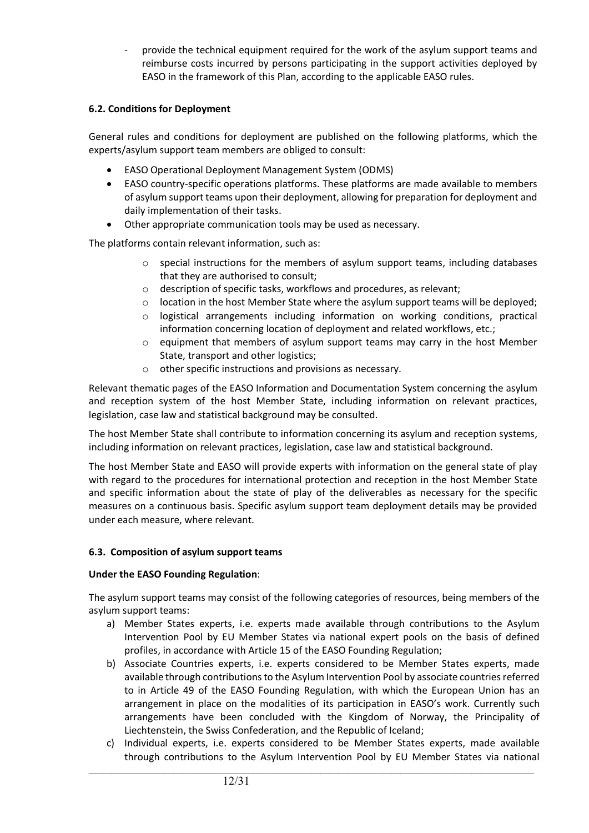provide the technical equipment required for the work of the asylum support teams and reimburse costs incurred by persons participating in the support activities deployed by EASO in the framework of this Plan, according to the applicable EASO rules.

## **6.2. Conditions for Deployment**

General rules and conditions for deployment are published on the following platforms, which the experts/asylum support team members are obliged to consult:

- EASO Operational Deployment Management System (ODMS)
- EASO country-specific operations platforms. These platforms are made available to members of asylum support teams upon their deployment, allowing for preparation for deployment and daily implementation of their tasks.
- Other appropriate communication tools may be used as necessary.

The platforms contain relevant information, such as:

- $\circ$  special instructions for the members of asylum support teams, including databases that they are authorised to consult;
- o description of specific tasks, workflows and procedures, as relevant;
- $\circ$  location in the host Member State where the asylum support teams will be deployed;
- $\circ$  logistical arrangements including information on working conditions, practical information concerning location of deployment and related workflows, etc.;
- $\circ$  equipment that members of asylum support teams may carry in the host Member State, transport and other logistics;
- o other specific instructions and provisions as necessary.

Relevant thematic pages of the EASO Information and Documentation System concerning the asylum and reception system of the host Member State, including information on relevant practices, legislation, case law and statistical background may be consulted.

The host Member State shall contribute to information concerning its asylum and reception systems, including information on relevant practices, legislation, case law and statistical background.

The host Member State and EASO will provide experts with information on the general state of play with regard to the procedures for international protection and reception in the host Member State and specific information about the state of play of the deliverables as necessary for the specific measures on a continuous basis. Specific asylum support team deployment details may be provided under each measure, where relevant.

#### **6.3. Composition of asylum support teams**

#### **Under the EASO Founding Regulation**:

The asylum support teams may consist of the following categories of resources, being members of the asylum support teams:

- a) Member States experts, i.e. experts made available through contributions to the Asylum Intervention Pool by EU Member States via national expert pools on the basis of defined profiles, in accordance with Article 15 of the EASO Founding Regulation;
- b) Associate Countries experts, i.e. experts considered to be Member States experts, made available through contributions to the Asylum Intervention Pool by associate countries referred to in Article 49 of the EASO Founding Regulation, with which the European Union has an arrangement in place on the modalities of its participation in EASO's work. Currently such arrangements have been concluded with the Kingdom of Norway, the Principality of Liechtenstein, the Swiss Confederation, and the Republic of Iceland;
- c) Individual experts, i.e. experts considered to be Member States experts, made available through contributions to the Asylum Intervention Pool by EU Member States via national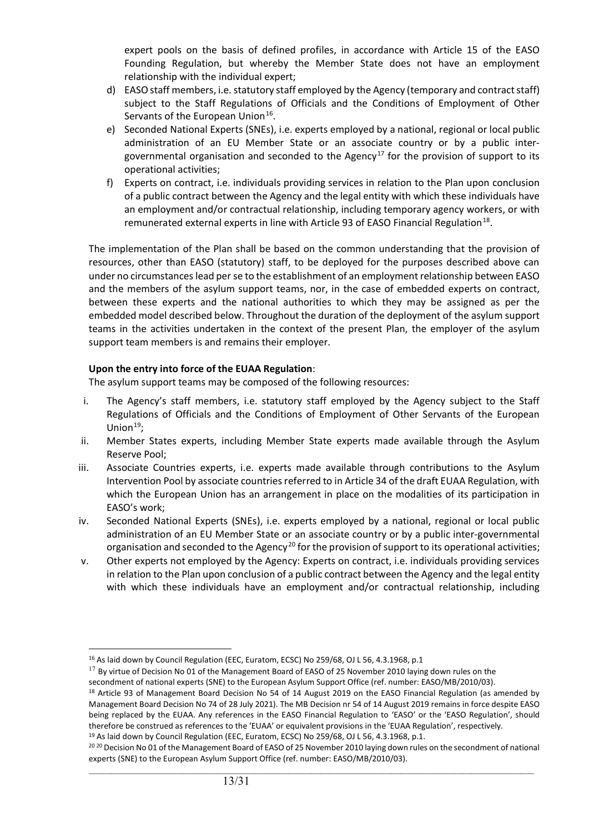expert pools on the basis of defined profiles, in accordance with Article 15 of the EASO Founding Regulation, but whereby the Member State does not have an employment relationship with the individual expert;

- d) EASO staff members, i.e. statutory staff employed by the Agency (temporary and contract staff) subject to the Staff Regulations of Officials and the Conditions of Employment of Other Servants of the European Union<sup>[16](#page-12-0)</sup>.
- e) Seconded National Experts (SNEs), i.e. experts employed by a national, regional or local public administration of an EU Member State or an associate country or by a public inter-governmental organisation and seconded to the Agency<sup>[17](#page-12-1)</sup> for the provision of support to its operational activities;
- f) Experts on contract, i.e. individuals providing services in relation to the Plan upon conclusion of a public contract between the Agency and the legal entity with which these individuals have an employment and/or contractual relationship, including temporary agency workers, or with remunerated external experts in line with Article 93 of EASO Financial Regulation<sup>[18](#page-12-2)</sup>.

The implementation of the Plan shall be based on the common understanding that the provision of resources, other than EASO (statutory) staff, to be deployed for the purposes described above can under no circumstances lead per se to the establishment of an employment relationship between EASO and the members of the asylum support teams, nor, in the case of embedded experts on contract, between these experts and the national authorities to which they may be assigned as per the embedded model described below. Throughout the duration of the deployment of the asylum support teams in the activities undertaken in the context of the present Plan, the employer of the asylum support team members is and remains their employer.

## **Upon the entry into force of the EUAA Regulation**:

The asylum support teams may be composed of the following resources:

- i. The Agency's staff members, i.e. statutory staff employed by the Agency subject to the Staff Regulations of Officials and the Conditions of Employment of Other Servants of the European Union $19$ ;
- ii. Member States experts, including Member State experts made available through the Asylum Reserve Pool;
- iii. Associate Countries experts, i.e. experts made available through contributions to the Asylum Intervention Pool by associate countries referred to in Article 34 of the draft EUAA Regulation, with which the European Union has an arrangement in place on the modalities of its participation in EASO's work;
- iv. Seconded National Experts (SNEs), i.e. experts employed by a national, regional or local public administration of an EU Member State or an associate country or by a public inter-governmental organisation and seconded to the Agency<sup>[20](#page-12-4)</sup> for the provision of support to its operational activities;
- v. Other experts not employed by the Agency: Experts on contract, i.e. individuals providing services in relation to the Plan upon conclusion of a public contract between the Agency and the legal entity with which these individuals have an employment and/or contractual relationship, including

<span id="page-12-1"></span><span id="page-12-0"></span> $17$  By virtue of Decision No 01 of the Management Board of EASO of 25 November 2010 laying down rules on the secondment of national experts (SNE) to the European Asylum Support Office (ref. number: EASO/MB/2010/03).

<span id="page-12-3"></span><sup>19</sup> As laid down by Council Regulation (EEC, Euratom, ECSC) No 259/68, OJ L 56, 4.3.1968, p.1.

<sup>&</sup>lt;sup>16</sup> As laid down by Council Regulation (EEC, Euratom, ECSC) No 259/68, OJ L 56, 4.3.1968, p.1

<span id="page-12-2"></span><sup>&</sup>lt;sup>18</sup> Article 93 of Management Board Decision No 54 of 14 August 2019 on the EASO Financial Regulation (as amended by Management Board Decision No 74 of 28 July 2021). The MB Decision nr 54 of 14 August 2019 remains in force despite EASO being replaced by the EUAA. Any references in the EASO Financial Regulation to 'EASO' or the 'EASO Regulation', should therefore be construed as references to the 'EUAA' or equivalent provisions in the 'EUAA Regulation', respectively.

<span id="page-12-4"></span> $\_$  ,  $\_$  ,  $\_$  ,  $\_$  ,  $\_$  ,  $\_$  ,  $\_$  ,  $\_$  ,  $\_$  ,  $\_$  ,  $\_$  ,  $\_$  ,  $\_$  ,  $\_$  ,  $\_$  ,  $\_$  ,  $\_$  ,  $\_$  ,  $\_$  ,  $\_$  ,  $\_$  ,  $\_$  ,  $\_$  ,  $\_$  ,  $\_$  ,  $\_$  ,  $\_$  ,  $\_$  ,  $\_$  ,  $\_$  ,  $\_$  ,  $\_$  ,  $\_$  ,  $\_$  ,  $\_$  ,  $\_$  ,  $\_$  , <sup>20 20</sup> Decision No 01 of the Management Board of EASO of 25 November 2010 laying down rules on the secondment of national experts (SNE) to the European Asylum Support Office (ref. number: EASO/MB/2010/03).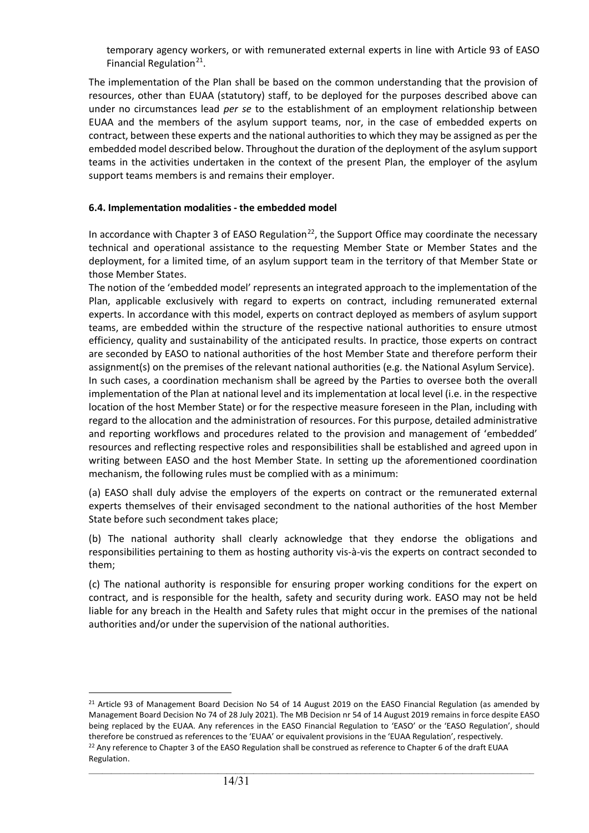temporary agency workers, or with remunerated external experts in line with Article 93 of EASO Financial Regulation $21$ .

The implementation of the Plan shall be based on the common understanding that the provision of resources, other than EUAA (statutory) staff, to be deployed for the purposes described above can under no circumstances lead *per se* to the establishment of an employment relationship between EUAA and the members of the asylum support teams, nor, in the case of embedded experts on contract, between these experts and the national authorities to which they may be assigned as per the embedded model described below. Throughout the duration of the deployment of the asylum support teams in the activities undertaken in the context of the present Plan, the employer of the asylum support teams members is and remains their employer.

## **6.4. Implementation modalities - the embedded model**

In accordance with Chapter 3 of EASO Regulation<sup>[22](#page-13-1)</sup>, the Support Office may coordinate the necessary technical and operational assistance to the requesting Member State or Member States and the deployment, for a limited time, of an asylum support team in the territory of that Member State or those Member States.

The notion of the 'embedded model' represents an integrated approach to the implementation of the Plan, applicable exclusively with regard to experts on contract, including remunerated external experts. In accordance with this model, experts on contract deployed as members of asylum support teams, are embedded within the structure of the respective national authorities to ensure utmost efficiency, quality and sustainability of the anticipated results. In practice, those experts on contract are seconded by EASO to national authorities of the host Member State and therefore perform their assignment(s) on the premises of the relevant national authorities (e.g. the National Asylum Service). In such cases, a coordination mechanism shall be agreed by the Parties to oversee both the overall implementation of the Plan at national level and its implementation at local level (i.e. in the respective location of the host Member State) or for the respective measure foreseen in the Plan, including with regard to the allocation and the administration of resources. For this purpose, detailed administrative

and reporting workflows and procedures related to the provision and management of 'embedded' resources and reflecting respective roles and responsibilities shall be established and agreed upon in writing between EASO and the host Member State. In setting up the aforementioned coordination mechanism, the following rules must be complied with as a minimum:

(a) EASO shall duly advise the employers of the experts on contract or the remunerated external experts themselves of their envisaged secondment to the national authorities of the host Member State before such secondment takes place;

(b) The national authority shall clearly acknowledge that they endorse the obligations and responsibilities pertaining to them as hosting authority vis-à-vis the experts on contract seconded to them;

(c) The national authority is responsible for ensuring proper working conditions for the expert on contract, and is responsible for the health, safety and security during work. EASO may not be held liable for any breach in the Health and Safety rules that might occur in the premises of the national authorities and/or under the supervision of the national authorities.

<span id="page-13-1"></span><span id="page-13-0"></span> $21$  Article 93 of Management Board Decision No 54 of 14 August 2019 on the EASO Financial Regulation (as amended by Management Board Decision No 74 of 28 July 2021). The MB Decision nr 54 of 14 August 2019 remains in force despite EASO being replaced by the EUAA. Any references in the EASO Financial Regulation to 'EASO' or the 'EASO Regulation', should therefore be construed as references to the 'EUAA' or equivalent provisions in the 'EUAA Regulation', respectively. <sup>22</sup> Any reference to Chapter 3 of the EASO Regulation shall be construed as reference to Chapter 6 of the draft EUAA Regulation.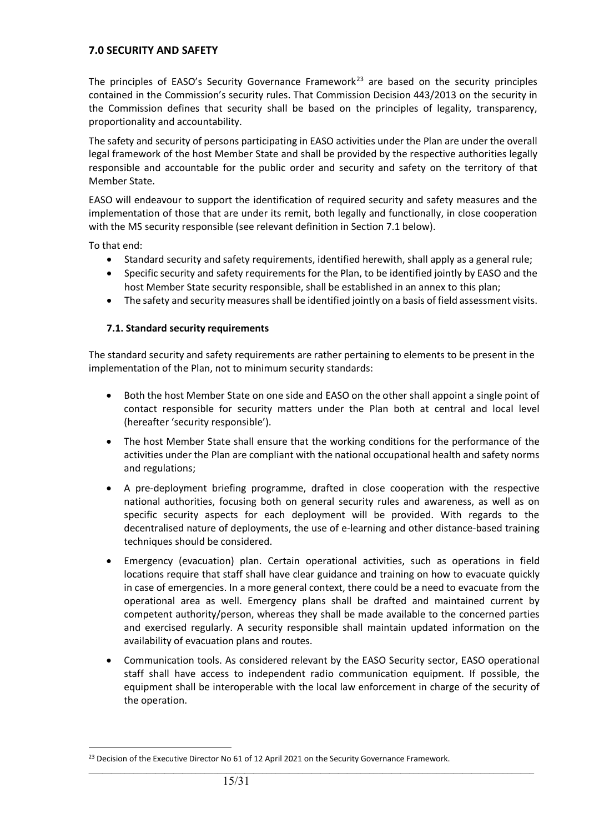## **7.0 SECURITY AND SAFETY**

The principles of EASO's Security Governance Framework<sup>[23](#page-14-0)</sup> are based on the security principles contained in the Commission's security rules. That Commission Decision 443/2013 on the security in the Commission defines that security shall be based on the principles of legality, transparency, proportionality and accountability.

The safety and security of persons participating in EASO activities under the Plan are under the overall legal framework of the host Member State and shall be provided by the respective authorities legally responsible and accountable for the public order and security and safety on the territory of that Member State.

EASO will endeavour to support the identification of required security and safety measures and the implementation of those that are under its remit, both legally and functionally, in close cooperation with the MS security responsible (see relevant definition in Section 7.1 below).

To that end:

- Standard security and safety requirements, identified herewith, shall apply as a general rule;
- Specific security and safety requirements for the Plan, to be identified jointly by EASO and the host Member State security responsible, shall be established in an annex to this plan;
- The safety and security measures shall be identified jointly on a basis of field assessment visits.

#### **7.1. Standard security requirements**

The standard security and safety requirements are rather pertaining to elements to be present in the implementation of the Plan, not to minimum security standards:

- Both the host Member State on one side and EASO on the other shall appoint a single point of contact responsible for security matters under the Plan both at central and local level (hereafter 'security responsible').
- The host Member State shall ensure that the working conditions for the performance of the activities under the Plan are compliant with the national occupational health and safety norms and regulations;
- A pre-deployment briefing programme, drafted in close cooperation with the respective national authorities, focusing both on general security rules and awareness, as well as on specific security aspects for each deployment will be provided. With regards to the decentralised nature of deployments, the use of e-learning and other distance-based training techniques should be considered.
- Emergency (evacuation) plan. Certain operational activities, such as operations in field locations require that staff shall have clear guidance and training on how to evacuate quickly in case of emergencies. In a more general context, there could be a need to evacuate from the operational area as well. Emergency plans shall be drafted and maintained current by competent authority/person, whereas they shall be made available to the concerned parties and exercised regularly. A security responsible shall maintain updated information on the availability of evacuation plans and routes.
- Communication tools. As considered relevant by the EASO Security sector, EASO operational staff shall have access to independent radio communication equipment. If possible, the equipment shall be interoperable with the local law enforcement in charge of the security of the operation.

<span id="page-14-0"></span><sup>&</sup>lt;sup>23</sup> Decision of the Executive Director No 61 of 12 April 2021 on the Security Governance Framework.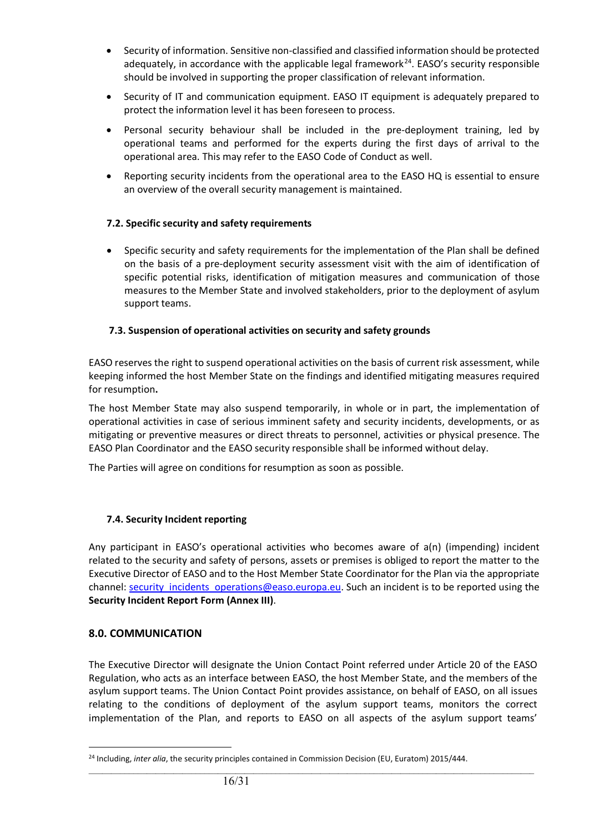- Security of information. Sensitive non-classified and classified information should be protected adequately, in accordance with the applicable legal framework<sup>[24](#page-15-0)</sup>. EASO's security responsible should be involved in supporting the proper classification of relevant information.
- Security of IT and communication equipment. EASO IT equipment is adequately prepared to protect the information level it has been foreseen to process.
- Personal security behaviour shall be included in the pre-deployment training, led by operational teams and performed for the experts during the first days of arrival to the operational area. This may refer to the EASO Code of Conduct as well.
- Reporting security incidents from the operational area to the EASO HQ is essential to ensure an overview of the overall security management is maintained.

## **7.2. Specific security and safety requirements**

• Specific security and safety requirements for the implementation of the Plan shall be defined on the basis of a pre-deployment security assessment visit with the aim of identification of specific potential risks, identification of mitigation measures and communication of those measures to the Member State and involved stakeholders, prior to the deployment of asylum support teams.

## **7.3. Suspension of operational activities on security and safety grounds**

EASO reserves the right to suspend operational activities on the basis of current risk assessment, while keeping informed the host Member State on the findings and identified mitigating measures required for resumption**.**

The host Member State may also suspend temporarily, in whole or in part, the implementation of operational activities in case of serious imminent safety and security incidents, developments, or as mitigating or preventive measures or direct threats to personnel, activities or physical presence. The EASO Plan Coordinator and the EASO security responsible shall be informed without delay.

The Parties will agree on conditions for resumption as soon as possible.

## **7.4. Security Incident reporting**

Any participant in EASO's operational activities who becomes aware of a(n) (impending) incident related to the security and safety of persons, assets or premises is obliged to report the matter to the Executive Director of EASO and to the Host Member State Coordinator for the Plan via the appropriate channel: security incidents operations@easo.europa.eu. Such an incident is to be reported using the **Security Incident Report Form (Annex III)**.

#### **8.0. COMMUNICATION**

The Executive Director will designate the Union Contact Point referred under Article 20 of the EASO Regulation, who acts as an interface between EASO, the host Member State, and the members of the asylum support teams. The Union Contact Point provides assistance, on behalf of EASO, on all issues relating to the conditions of deployment of the asylum support teams, monitors the correct implementation of the Plan, and reports to EASO on all aspects of the asylum support teams'

<span id="page-15-0"></span><sup>&</sup>lt;sup>24</sup> Including, *inter alia*, the security principles contained in Commission Decision (EU, Euratom) 2015/444.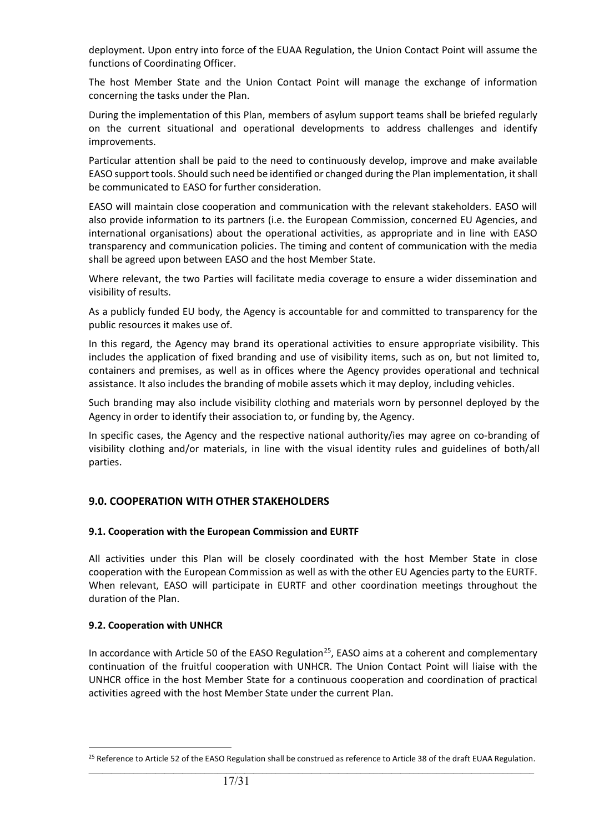deployment. Upon entry into force of the EUAA Regulation, the Union Contact Point will assume the functions of Coordinating Officer.

The host Member State and the Union Contact Point will manage the exchange of information concerning the tasks under the Plan.

During the implementation of this Plan, members of asylum support teams shall be briefed regularly on the current situational and operational developments to address challenges and identify improvements.

Particular attention shall be paid to the need to continuously develop, improve and make available EASO support tools. Should such need be identified or changed during the Plan implementation, it shall be communicated to EASO for further consideration.

EASO will maintain close cooperation and communication with the relevant stakeholders. EASO will also provide information to its partners (i.e. the European Commission, concerned EU Agencies, and international organisations) about the operational activities, as appropriate and in line with EASO transparency and communication policies. The timing and content of communication with the media shall be agreed upon between EASO and the host Member State.

Where relevant, the two Parties will facilitate media coverage to ensure a wider dissemination and visibility of results.

As a publicly funded EU body, the Agency is accountable for and committed to transparency for the public resources it makes use of.

In this regard, the Agency may brand its operational activities to ensure appropriate visibility. This includes the application of fixed branding and use of visibility items, such as on, but not limited to, containers and premises, as well as in offices where the Agency provides operational and technical assistance. It also includes the branding of mobile assets which it may deploy, including vehicles.

Such branding may also include visibility clothing and materials worn by personnel deployed by the Agency in order to identify their association to, or funding by, the Agency.

In specific cases, the Agency and the respective national authority/ies may agree on co-branding of visibility clothing and/or materials, in line with the visual identity rules and guidelines of both/all parties.

## **9.0. COOPERATION WITH OTHER STAKEHOLDERS**

#### **9.1. Cooperation with the European Commission and EURTF**

All activities under this Plan will be closely coordinated with the host Member State in close cooperation with the European Commission as well as with the other EU Agencies party to the EURTF. When relevant, EASO will participate in EURTF and other coordination meetings throughout the duration of the Plan.

#### **9.2. Cooperation with UNHCR**

In accordance with Article 50 of the EASO Regulation<sup>25</sup>, EASO aims at a coherent and complementary continuation of the fruitful cooperation with UNHCR. The Union Contact Point will liaise with the UNHCR office in the host Member State for a continuous cooperation and coordination of practical activities agreed with the host Member State under the current Plan.

<span id="page-16-0"></span> $\_$  ,  $\_$  ,  $\_$  ,  $\_$  ,  $\_$  ,  $\_$  ,  $\_$  ,  $\_$  ,  $\_$  ,  $\_$  ,  $\_$  ,  $\_$  ,  $\_$  ,  $\_$  ,  $\_$  ,  $\_$  ,  $\_$  ,  $\_$  ,  $\_$  ,  $\_$  ,  $\_$  ,  $\_$  ,  $\_$  ,  $\_$  ,  $\_$  ,  $\_$  ,  $\_$  ,  $\_$  ,  $\_$  ,  $\_$  ,  $\_$  ,  $\_$  ,  $\_$  ,  $\_$  ,  $\_$  ,  $\_$  ,  $\_$  , <sup>25</sup> Reference to Article 52 of the EASO Regulation shall be construed as reference to Article 38 of the draft EUAA Regulation.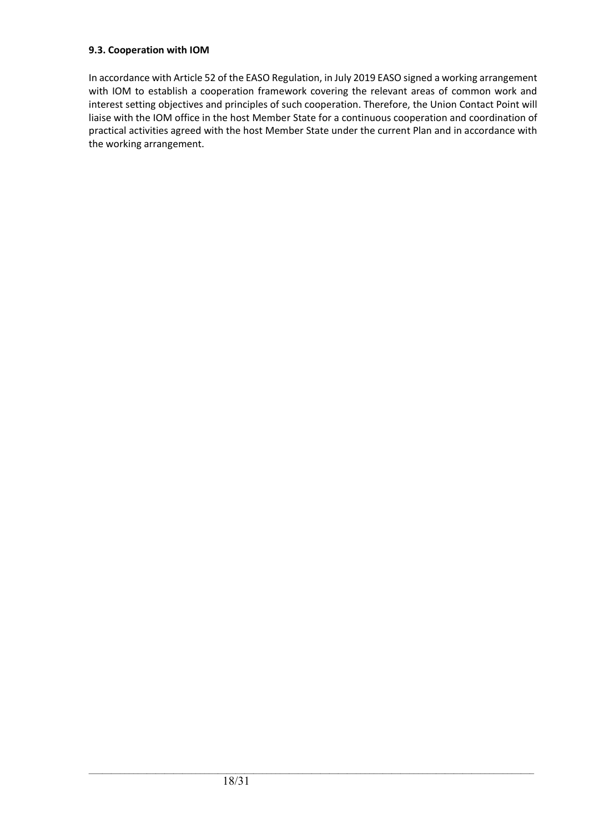#### **9.3. Cooperation with IOM**

In accordance with Article 52 of the EASO Regulation, in July 2019 EASO signed a working arrangement with IOM to establish a cooperation framework covering the relevant areas of common work and interest setting objectives and principles of such cooperation. Therefore, the Union Contact Point will liaise with the IOM office in the host Member State for a continuous cooperation and coordination of practical activities agreed with the host Member State under the current Plan and in accordance with the working arrangement.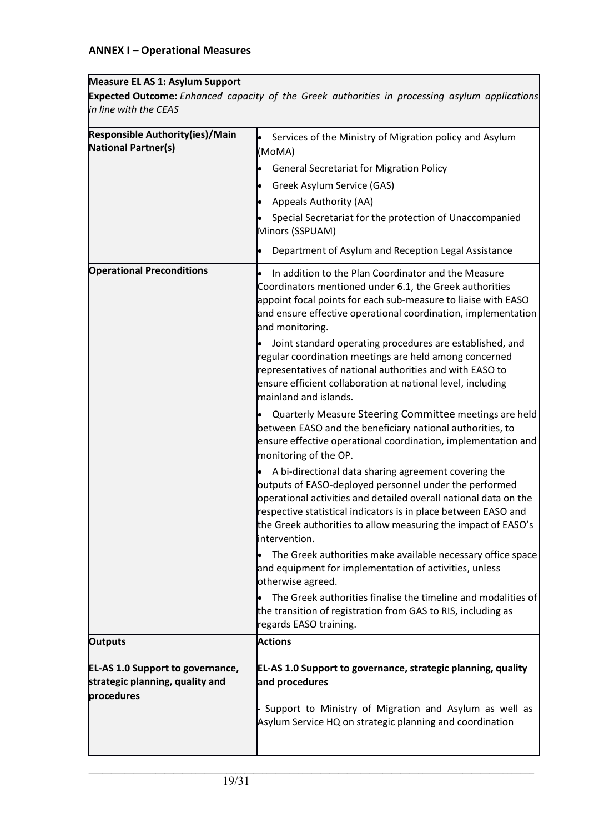## **ANNEX I – Operational Measures**

## **Measure EL AS 1: Asylum Support**

**Expected Outcome:** *Enhanced capacity of the Greek authorities in processing asylum applications in line with the CEAS*

| <b>Responsible Authority(ies)/Main</b><br><b>National Partner(s)</b>                     | Services of the Ministry of Migration policy and Asylum<br>$\bullet$<br>(MoMA)                                                                                                                                                                                                                                                          |
|------------------------------------------------------------------------------------------|-----------------------------------------------------------------------------------------------------------------------------------------------------------------------------------------------------------------------------------------------------------------------------------------------------------------------------------------|
|                                                                                          | <b>General Secretariat for Migration Policy</b>                                                                                                                                                                                                                                                                                         |
|                                                                                          | Greek Asylum Service (GAS)<br>$\bullet$                                                                                                                                                                                                                                                                                                 |
|                                                                                          | Appeals Authority (AA)<br>$\bullet$                                                                                                                                                                                                                                                                                                     |
|                                                                                          | Special Secretariat for the protection of Unaccompanied<br>Minors (SSPUAM)                                                                                                                                                                                                                                                              |
|                                                                                          | Department of Asylum and Reception Legal Assistance<br>$\bullet$                                                                                                                                                                                                                                                                        |
| <b>Operational Preconditions</b>                                                         | In addition to the Plan Coordinator and the Measure<br>Coordinators mentioned under 6.1, the Greek authorities<br>appoint focal points for each sub-measure to liaise with EASO<br>and ensure effective operational coordination, implementation<br>and monitoring.                                                                     |
|                                                                                          | Joint standard operating procedures are established, and<br>regular coordination meetings are held among concerned<br>representatives of national authorities and with EASO to<br>ensure efficient collaboration at national level, including<br>mainland and islands.                                                                  |
|                                                                                          | Quarterly Measure Steering Committee meetings are held<br>between EASO and the beneficiary national authorities, to<br>ensure effective operational coordination, implementation and<br>monitoring of the OP.                                                                                                                           |
|                                                                                          | A bi-directional data sharing agreement covering the<br>outputs of EASO-deployed personnel under the performed<br>operational activities and detailed overall national data on the<br>respective statistical indicators is in place between EASO and<br>the Greek authorities to allow measuring the impact of EASO's<br>lintervention. |
|                                                                                          | The Greek authorities make available necessary office space<br>and equipment for implementation of activities, unless<br>otherwise agreed.                                                                                                                                                                                              |
|                                                                                          | The Greek authorities finalise the timeline and modalities of<br>the transition of registration from GAS to RIS, including as<br>regards EASO training.                                                                                                                                                                                 |
| <b>Outputs</b>                                                                           | <b>Actions</b>                                                                                                                                                                                                                                                                                                                          |
| <b>EL-AS 1.0 Support to governance,</b><br>strategic planning, quality and<br>procedures | EL-AS 1.0 Support to governance, strategic planning, quality<br>and procedures                                                                                                                                                                                                                                                          |
|                                                                                          | Support to Ministry of Migration and Asylum as well as<br>Asylum Service HQ on strategic planning and coordination                                                                                                                                                                                                                      |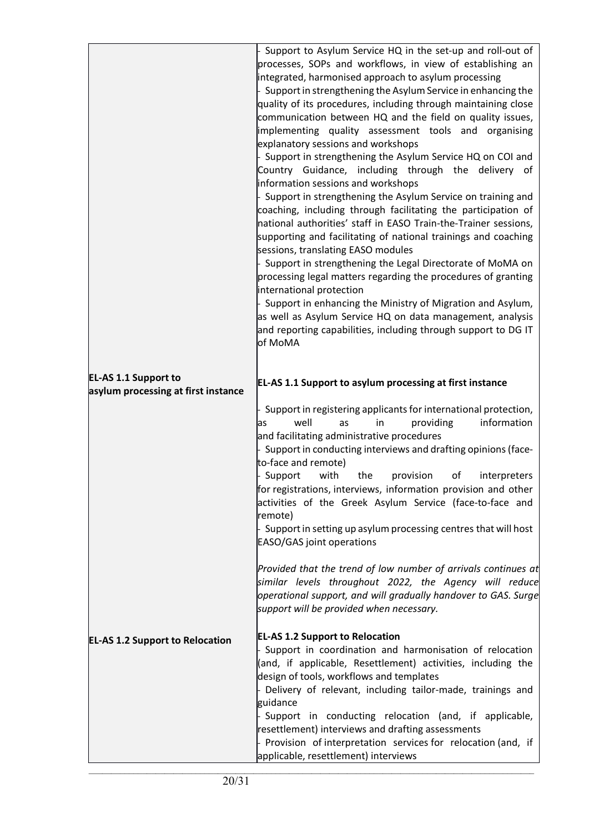|                                                                    | Support to Asylum Service HQ in the set-up and roll-out of<br>processes, SOPs and workflows, in view of establishing an<br>integrated, harmonised approach to asylum processing<br>Support in strengthening the Asylum Service in enhancing the<br>quality of its procedures, including through maintaining close<br>communication between HQ and the field on quality issues,<br>implementing quality assessment tools and organising<br>explanatory sessions and workshops<br>Support in strengthening the Asylum Service HQ on COI and<br>Country Guidance, including through the delivery of<br>information sessions and workshops<br>Support in strengthening the Asylum Service on training and<br>coaching, including through facilitating the participation of<br>national authorities' staff in EASO Train-the-Trainer sessions,<br>supporting and facilitating of national trainings and coaching<br>sessions, translating EASO modules<br>Support in strengthening the Legal Directorate of MoMA on<br>processing legal matters regarding the procedures of granting<br>international protection<br>Support in enhancing the Ministry of Migration and Asylum,<br>as well as Asylum Service HQ on data management, analysis<br>and reporting capabilities, including through support to DG IT<br>of MoMA |
|--------------------------------------------------------------------|---------------------------------------------------------------------------------------------------------------------------------------------------------------------------------------------------------------------------------------------------------------------------------------------------------------------------------------------------------------------------------------------------------------------------------------------------------------------------------------------------------------------------------------------------------------------------------------------------------------------------------------------------------------------------------------------------------------------------------------------------------------------------------------------------------------------------------------------------------------------------------------------------------------------------------------------------------------------------------------------------------------------------------------------------------------------------------------------------------------------------------------------------------------------------------------------------------------------------------------------------------------------------------------------------------------------|
| <b>EL-AS 1.1 Support to</b><br>asylum processing at first instance | <b>EL-AS 1.1 Support to asylum processing at first instance</b><br>Support in registering applicants for international protection,<br>information<br>well<br>in<br>providing<br>as<br>las<br>and facilitating administrative procedures<br>Support in conducting interviews and drafting opinions (face-<br>to-face and remote)<br>with<br>Support<br>the<br>provision<br>of<br>interpreters<br>for registrations, interviews, information provision and other<br>activities of the Greek Asylum Service (face-to-face and<br>remote)<br>Support in setting up asylum processing centres that will host<br><b>EASO/GAS joint operations</b><br>Provided that the trend of low number of arrivals continues at                                                                                                                                                                                                                                                                                                                                                                                                                                                                                                                                                                                                       |
| <b>EL-AS 1.2 Support to Relocation</b>                             | similar levels throughout 2022, the Agency will reduce<br>operational support, and will gradually handover to GAS. Surge<br>support will be provided when necessary.<br><b>EL-AS 1.2 Support to Relocation</b><br>Support in coordination and harmonisation of relocation<br>(and, if applicable, Resettlement) activities, including the<br>design of tools, workflows and templates<br>Delivery of relevant, including tailor-made, trainings and<br>guidance<br>Support in conducting relocation (and, if applicable,<br>resettlement) interviews and drafting assessments<br>- Provision of interpretation services for relocation (and, if<br>applicable, resettlement) interviews                                                                                                                                                                                                                                                                                                                                                                                                                                                                                                                                                                                                                             |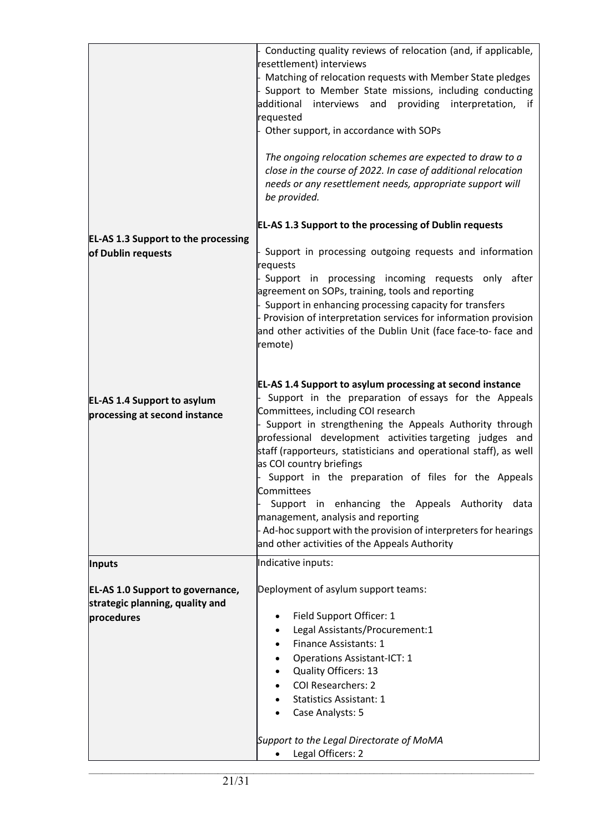| - Conducting quality reviews of relocation (and, if applicable,<br>resettlement) interviews<br>- Matching of relocation requests with Member State pledges<br>- Support to Member State missions, including conducting<br>additional<br>providing interpretation,<br>interviews and<br>if<br>requested<br>- Other support, in accordance with SOPs<br>The ongoing relocation schemes are expected to draw to a<br>close in the course of 2022. In case of additional relocation<br>needs or any resettlement needs, appropriate support will<br>be provided.                                                                                                           |
|------------------------------------------------------------------------------------------------------------------------------------------------------------------------------------------------------------------------------------------------------------------------------------------------------------------------------------------------------------------------------------------------------------------------------------------------------------------------------------------------------------------------------------------------------------------------------------------------------------------------------------------------------------------------|
| <b>EL-AS 1.3 Support to the processing of Dublin requests</b>                                                                                                                                                                                                                                                                                                                                                                                                                                                                                                                                                                                                          |
| - Support in processing outgoing requests and information                                                                                                                                                                                                                                                                                                                                                                                                                                                                                                                                                                                                              |
| requests<br>- Support in processing incoming requests only after<br>agreement on SOPs, training, tools and reporting<br>- Support in enhancing processing capacity for transfers<br>- Provision of interpretation services for information provision<br>and other activities of the Dublin Unit (face face-to-face and<br>remote)                                                                                                                                                                                                                                                                                                                                      |
| EL-AS 1.4 Support to asylum processing at second instance<br>Support in the preparation of essays for the Appeals<br>Committees, including COI research<br>- Support in strengthening the Appeals Authority through<br>professional development activities targeting judges and<br>staff (rapporteurs, statisticians and operational staff), as well<br>as COI country briefings<br>Support in the preparation of files for the Appeals<br>Committees<br>Support in enhancing the Appeals Authority<br>data<br>management, analysis and reporting<br>- Ad-hoc support with the provision of interpreters for hearings<br>and other activities of the Appeals Authority |
| Indicative inputs:                                                                                                                                                                                                                                                                                                                                                                                                                                                                                                                                                                                                                                                     |
| Deployment of asylum support teams:<br>Field Support Officer: 1<br>Legal Assistants/Procurement:1<br>Finance Assistants: 1<br><b>Operations Assistant-ICT: 1</b><br>Quality Officers: 13<br><b>COI Researchers: 2</b><br><b>Statistics Assistant: 1</b><br>Case Analysts: 5<br>Support to the Legal Directorate of MoMA<br>Legal Officers: 2                                                                                                                                                                                                                                                                                                                           |
|                                                                                                                                                                                                                                                                                                                                                                                                                                                                                                                                                                                                                                                                        |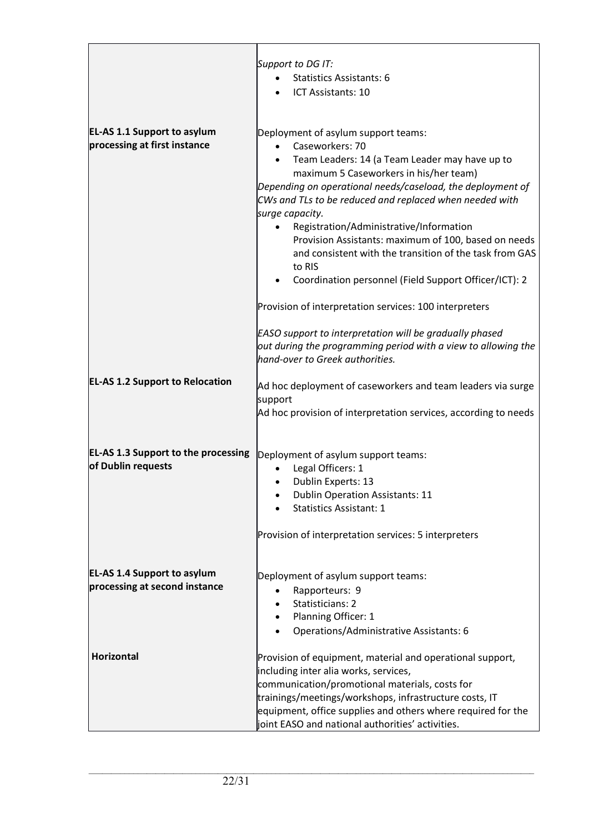|                                                                     | Support to DG IT:<br><b>Statistics Assistants: 6</b><br>ICT Assistants: 10                                                                                                                                                                                                                                                                                                                                                                                                                                                      |
|---------------------------------------------------------------------|---------------------------------------------------------------------------------------------------------------------------------------------------------------------------------------------------------------------------------------------------------------------------------------------------------------------------------------------------------------------------------------------------------------------------------------------------------------------------------------------------------------------------------|
| <b>EL-AS 1.1 Support to asylum</b><br>processing at first instance  | Deployment of asylum support teams:<br>Caseworkers: 70<br>Team Leaders: 14 (a Team Leader may have up to<br>maximum 5 Caseworkers in his/her team)<br>Depending on operational needs/caseload, the deployment of<br>CWs and TLs to be reduced and replaced when needed with<br>surge capacity.<br>Registration/Administrative/Information<br>Provision Assistants: maximum of 100, based on needs<br>and consistent with the transition of the task from GAS<br>to RIS<br>Coordination personnel (Field Support Officer/ICT): 2 |
|                                                                     | Provision of interpretation services: 100 interpreters<br>EASO support to interpretation will be gradually phased<br>out during the programming period with a view to allowing the<br>hand-over to Greek authorities.                                                                                                                                                                                                                                                                                                           |
| <b>EL-AS 1.2 Support to Relocation</b>                              | Ad hoc deployment of caseworkers and team leaders via surge<br>support<br>Ad hoc provision of interpretation services, according to needs                                                                                                                                                                                                                                                                                                                                                                                       |
| <b>EL-AS 1.3 Support to the processing</b><br>of Dublin requests    | Deployment of asylum support teams:<br>Legal Officers: 1<br>Dublin Experts: 13<br><b>Dublin Operation Assistants: 11</b><br><b>Statistics Assistant: 1</b><br>Provision of interpretation services: 5 interpreters                                                                                                                                                                                                                                                                                                              |
| <b>EL-AS 1.4 Support to asylum</b><br>processing at second instance | Deployment of asylum support teams:<br>Rapporteurs: 9<br>Statisticians: 2<br>Planning Officer: 1<br>Operations/Administrative Assistants: 6                                                                                                                                                                                                                                                                                                                                                                                     |
| Horizontal                                                          | Provision of equipment, material and operational support,<br>including inter alia works, services,<br>communication/promotional materials, costs for<br>trainings/meetings/workshops, infrastructure costs, IT<br>equipment, office supplies and others where required for the<br>joint EASO and national authorities' activities.                                                                                                                                                                                              |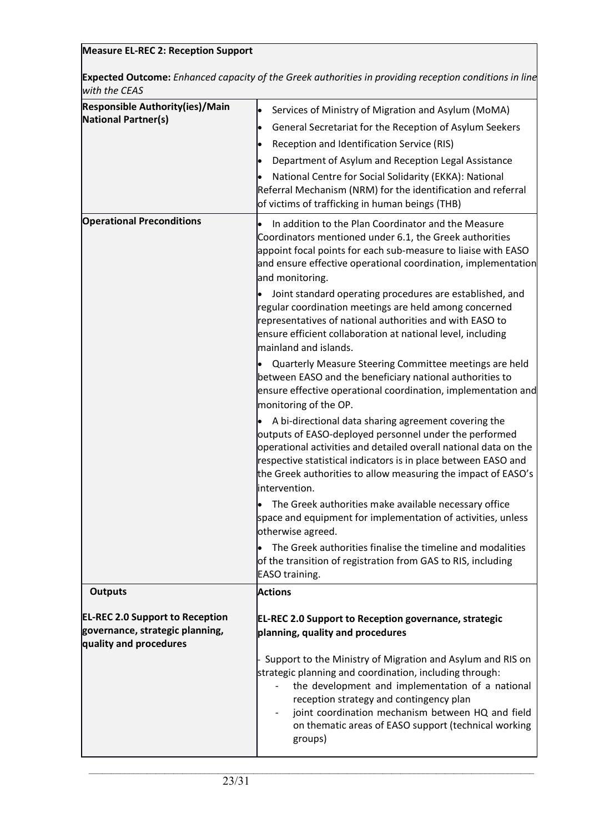# **Measure EL-REC 2: Reception Support**

**Expected Outcome:***Enhanced capacity of the Greek authorities in providing reception conditions in line with the CEAS*

| <b>Responsible Authority(ies)/Main</b><br><b>National Partner(s)</b>                                | Services of Ministry of Migration and Asylum (MoMA)<br>$\bullet$<br>General Secretariat for the Reception of Asylum Seekers<br>$\bullet$<br>Reception and Identification Service (RIS)<br>$\bullet$<br>Department of Asylum and Reception Legal Assistance<br>National Centre for Social Solidarity (EKKA): National<br>Referral Mechanism (NRM) for the identification and referral<br>of victims of trafficking in human beings (THB)                                                                              |
|-----------------------------------------------------------------------------------------------------|----------------------------------------------------------------------------------------------------------------------------------------------------------------------------------------------------------------------------------------------------------------------------------------------------------------------------------------------------------------------------------------------------------------------------------------------------------------------------------------------------------------------|
| <b>Operational Preconditions</b>                                                                    | In addition to the Plan Coordinator and the Measure<br>Coordinators mentioned under 6.1, the Greek authorities<br>appoint focal points for each sub-measure to liaise with EASO<br>and ensure effective operational coordination, implementation<br>and monitoring.<br>Joint standard operating procedures are established, and<br>regular coordination meetings are held among concerned<br>representatives of national authorities and with EASO to<br>ensure efficient collaboration at national level, including |
|                                                                                                     | mainland and islands.<br>Quarterly Measure Steering Committee meetings are held<br>between EASO and the beneficiary national authorities to<br>ensure effective operational coordination, implementation and<br>monitoring of the OP.                                                                                                                                                                                                                                                                                |
|                                                                                                     | A bi-directional data sharing agreement covering the<br>outputs of EASO-deployed personnel under the performed<br>operational activities and detailed overall national data on the<br>respective statistical indicators is in place between EASO and<br>the Greek authorities to allow measuring the impact of EASO's<br>intervention.                                                                                                                                                                               |
|                                                                                                     | The Greek authorities make available necessary office<br>space and equipment for implementation of activities, unless<br>otherwise agreed.                                                                                                                                                                                                                                                                                                                                                                           |
|                                                                                                     | The Greek authorities finalise the timeline and modalities<br>of the transition of registration from GAS to RIS, including<br>EASO training.                                                                                                                                                                                                                                                                                                                                                                         |
| <b>Outputs</b>                                                                                      | <b>Actions</b>                                                                                                                                                                                                                                                                                                                                                                                                                                                                                                       |
| <b>EL-REC 2.0 Support to Reception</b><br>governance, strategic planning,<br>quality and procedures | <b>EL-REC 2.0 Support to Reception governance, strategic</b><br>planning, quality and procedures                                                                                                                                                                                                                                                                                                                                                                                                                     |
|                                                                                                     | Support to the Ministry of Migration and Asylum and RIS on<br>strategic planning and coordination, including through:<br>the development and implementation of a national<br>$\overline{\phantom{0}}$<br>reception strategy and contingency plan<br>joint coordination mechanism between HQ and field<br>on thematic areas of EASO support (technical working<br>groups)                                                                                                                                             |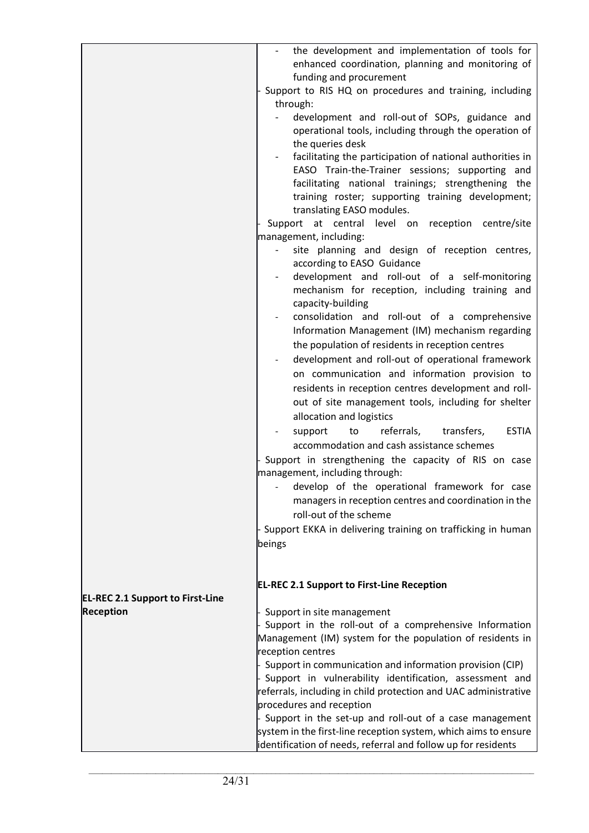|                                         | the development and implementation of tools for<br>enhanced coordination, planning and monitoring of<br>funding and procurement                            |
|-----------------------------------------|------------------------------------------------------------------------------------------------------------------------------------------------------------|
|                                         | Support to RIS HQ on procedures and training, including<br>through:                                                                                        |
|                                         | development and roll-out of SOPs, guidance and                                                                                                             |
|                                         | operational tools, including through the operation of                                                                                                      |
|                                         | the queries desk<br>facilitating the participation of national authorities in                                                                              |
|                                         | EASO Train-the-Trainer sessions; supporting and<br>facilitating national trainings; strengthening the<br>training roster; supporting training development; |
|                                         | translating EASO modules.                                                                                                                                  |
|                                         | Support at central level on reception centre/site                                                                                                          |
|                                         | management, including:<br>site planning and design of reception centres,                                                                                   |
|                                         | according to EASO Guidance                                                                                                                                 |
|                                         | development and roll-out of a self-monitoring                                                                                                              |
|                                         | mechanism for reception, including training and<br>capacity-building                                                                                       |
|                                         | consolidation and roll-out of a comprehensive                                                                                                              |
|                                         | Information Management (IM) mechanism regarding                                                                                                            |
|                                         | the population of residents in reception centres                                                                                                           |
|                                         | development and roll-out of operational framework                                                                                                          |
|                                         | on communication and information provision to                                                                                                              |
|                                         | residents in reception centres development and roll-                                                                                                       |
|                                         | out of site management tools, including for shelter<br>allocation and logistics                                                                            |
|                                         | referrals,<br><b>ESTIA</b><br>support<br>to<br>transfers,<br>accommodation and cash assistance schemes                                                     |
|                                         | Support in strengthening the capacity of RIS on case<br>management, including through:                                                                     |
|                                         | - develop of the operational framework for case<br>managers in reception centres and coordination in the                                                   |
|                                         | roll-out of the scheme                                                                                                                                     |
|                                         | Support EKKA in delivering training on trafficking in human<br>beings                                                                                      |
|                                         |                                                                                                                                                            |
|                                         | <b>EL-REC 2.1 Support to First-Line Reception</b>                                                                                                          |
| <b>EL-REC 2.1 Support to First-Line</b> |                                                                                                                                                            |
| <b>Reception</b>                        | Support in site management                                                                                                                                 |
|                                         | Support in the roll-out of a comprehensive Information                                                                                                     |
|                                         | Management (IM) system for the population of residents in                                                                                                  |
|                                         | reception centres<br>Support in communication and information provision (CIP)                                                                              |
|                                         | Support in vulnerability identification, assessment and                                                                                                    |
|                                         | referrals, including in child protection and UAC administrative                                                                                            |
|                                         | procedures and reception                                                                                                                                   |
|                                         | Support in the set-up and roll-out of a case management<br>system in the first-line reception system, which aims to ensure                                 |
|                                         | identification of needs, referral and follow up for residents                                                                                              |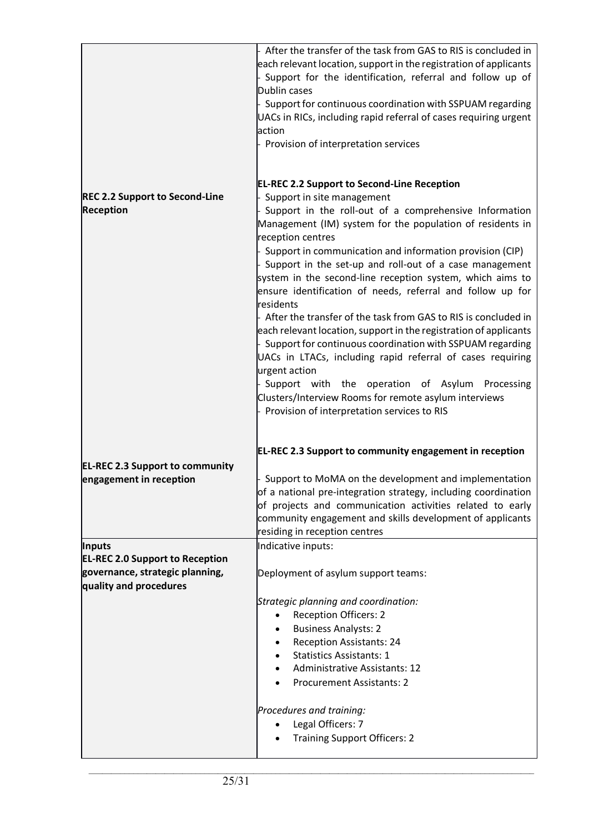|                                                                                                     | After the transfer of the task from GAS to RIS is concluded in<br>each relevant location, support in the registration of applicants<br>Support for the identification, referral and follow up of<br>Dublin cases<br>Support for continuous coordination with SSPUAM regarding<br>UACs in RICs, including rapid referral of cases requiring urgent<br>action<br>Provision of interpretation services                                                                                                                                                                                                                                |
|-----------------------------------------------------------------------------------------------------|------------------------------------------------------------------------------------------------------------------------------------------------------------------------------------------------------------------------------------------------------------------------------------------------------------------------------------------------------------------------------------------------------------------------------------------------------------------------------------------------------------------------------------------------------------------------------------------------------------------------------------|
| <b>REC 2.2 Support to Second-Line</b><br><b>Reception</b>                                           | <b>EL-REC 2.2 Support to Second-Line Reception</b><br>Support in site management<br>Support in the roll-out of a comprehensive Information<br>Management (IM) system for the population of residents in<br>reception centres<br>Support in communication and information provision (CIP)<br>Support in the set-up and roll-out of a case management<br>system in the second-line reception system, which aims to<br>ensure identification of needs, referral and follow up for<br>residents<br>After the transfer of the task from GAS to RIS is concluded in<br>each relevant location, support in the registration of applicants |
|                                                                                                     | Support for continuous coordination with SSPUAM regarding<br>UACs in LTACs, including rapid referral of cases requiring<br>urgent action<br>Support with the operation of Asylum<br>Processing<br>Clusters/Interview Rooms for remote asylum interviews<br>Provision of interpretation services to RIS<br>EL-REC 2.3 Support to community engagement in reception                                                                                                                                                                                                                                                                  |
| <b>EL-REC 2.3 Support to community</b><br>engagement in reception                                   | Support to MoMA on the development and implementation<br>of a national pre-integration strategy, including coordination<br>of projects and communication activities related to early<br>community engagement and skills development of applicants<br>residing in reception centres                                                                                                                                                                                                                                                                                                                                                 |
| <b>Inputs</b>                                                                                       | Indicative inputs:                                                                                                                                                                                                                                                                                                                                                                                                                                                                                                                                                                                                                 |
| <b>EL-REC 2.0 Support to Reception</b><br>governance, strategic planning,<br>quality and procedures | Deployment of asylum support teams:                                                                                                                                                                                                                                                                                                                                                                                                                                                                                                                                                                                                |
|                                                                                                     | Strategic planning and coordination:<br><b>Reception Officers: 2</b><br><b>Business Analysts: 2</b><br><b>Reception Assistants: 24</b><br><b>Statistics Assistants: 1</b><br><b>Administrative Assistants: 12</b><br><b>Procurement Assistants: 2</b><br>Procedures and training:<br>Legal Officers: 7<br><b>Training Support Officers: 2</b>                                                                                                                                                                                                                                                                                      |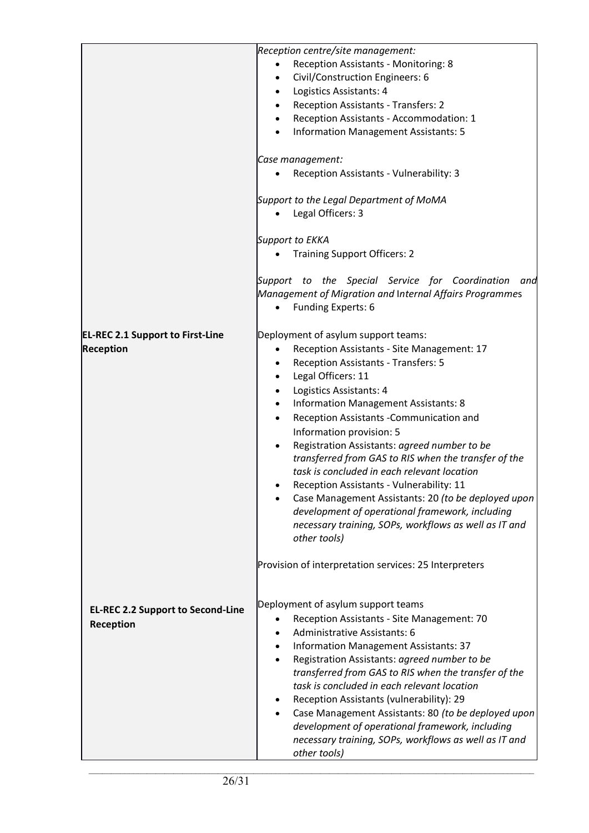|                                                             | Reception centre/site management:<br>Reception Assistants - Monitoring: 8<br>Civil/Construction Engineers: 6<br>٠<br>Logistics Assistants: 4<br>$\bullet$<br>Reception Assistants - Transfers: 2<br>Reception Assistants - Accommodation: 1<br>$\bullet$<br><b>Information Management Assistants: 5</b><br>$\bullet$<br>Case management:<br>Reception Assistants - Vulnerability: 3<br>Support to the Legal Department of MoMA<br>Legal Officers: 3<br><b>Support to EKKA</b><br><b>Training Support Officers: 2</b><br>Support to the Special Service for Coordination<br>and<br>Management of Migration and Internal Affairs Programmes<br>Funding Experts: 6                                                                                                                                                               |
|-------------------------------------------------------------|-------------------------------------------------------------------------------------------------------------------------------------------------------------------------------------------------------------------------------------------------------------------------------------------------------------------------------------------------------------------------------------------------------------------------------------------------------------------------------------------------------------------------------------------------------------------------------------------------------------------------------------------------------------------------------------------------------------------------------------------------------------------------------------------------------------------------------|
| <b>EL-REC 2.1 Support to First-Line</b><br><b>Reception</b> | Deployment of asylum support teams:<br>Reception Assistants - Site Management: 17<br>$\bullet$<br>Reception Assistants - Transfers: 5<br>$\bullet$<br>Legal Officers: 11<br>$\bullet$<br>Logistics Assistants: 4<br><b>Information Management Assistants: 8</b><br>$\bullet$<br>Reception Assistants - Communication and<br>$\bullet$<br>Information provision: 5<br>Registration Assistants: agreed number to be<br>$\bullet$<br>transferred from GAS to RIS when the transfer of the<br>task is concluded in each relevant location<br>Reception Assistants - Vulnerability: 11<br>Case Management Assistants: 20 (to be deployed upon<br>development of operational framework, including<br>necessary training, SOPs, workflows as well as IT and<br>other tools)<br>Provision of interpretation services: 25 Interpreters |
| <b>EL-REC 2.2 Support to Second-Line</b><br>Reception       | Deployment of asylum support teams<br>Reception Assistants - Site Management: 70<br>$\bullet$<br>Administrative Assistants: 6<br>Information Management Assistants: 37<br>Registration Assistants: agreed number to be<br>transferred from GAS to RIS when the transfer of the<br>task is concluded in each relevant location<br>Reception Assistants (vulnerability): 29<br>Case Management Assistants: 80 (to be deployed upon<br>$\bullet$<br>development of operational framework, including<br>necessary training, SOPs, workflows as well as IT and<br>other tools)                                                                                                                                                                                                                                                     |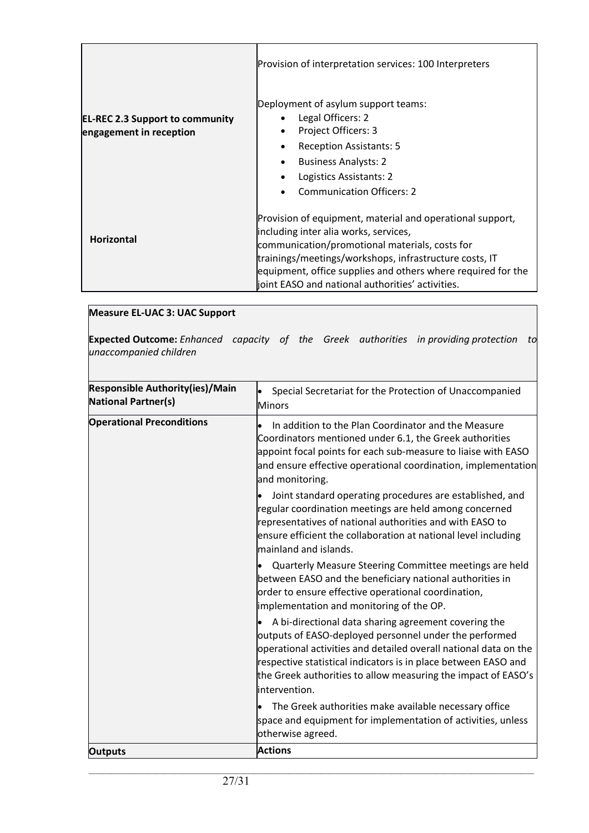|                                                                   | Provision of interpretation services: 100 Interpreters                                                                                                                                                                                                                                                                             |
|-------------------------------------------------------------------|------------------------------------------------------------------------------------------------------------------------------------------------------------------------------------------------------------------------------------------------------------------------------------------------------------------------------------|
| <b>EL-REC 2.3 Support to community</b><br>engagement in reception | Deployment of asylum support teams:<br>Legal Officers: 2<br>Project Officers: 3<br>$\bullet$<br><b>Reception Assistants: 5</b><br>$\bullet$<br><b>Business Analysts: 2</b><br>$\bullet$<br>Logistics Assistants: 2<br><b>Communication Officers: 2</b><br>$\bullet$                                                                |
| <b>Horizontal</b>                                                 | Provision of equipment, material and operational support,<br>including inter alia works, services,<br>communication/promotional materials, costs for<br>trainings/meetings/workshops, infrastructure costs, IT<br>equipment, office supplies and others where required for the<br>joint EASO and national authorities' activities. |

| Measure EL-UAC 3: UAC Support                                                                                            |  |  |  |  |
|--------------------------------------------------------------------------------------------------------------------------|--|--|--|--|
| <b>Expected Outcome:</b> Enhanced capacity of the Greek authorities in providing protection to<br>unaccompanied children |  |  |  |  |

| <b>Responsible Authority(ies)/Main</b><br><b>National Partner(s)</b> | Special Secretariat for the Protection of Unaccompanied<br>Minors                                                                                                                                                                                                                                                                       |
|----------------------------------------------------------------------|-----------------------------------------------------------------------------------------------------------------------------------------------------------------------------------------------------------------------------------------------------------------------------------------------------------------------------------------|
| <b>Operational Preconditions</b>                                     | In addition to the Plan Coordinator and the Measure<br>Coordinators mentioned under 6.1, the Greek authorities<br>appoint focal points for each sub-measure to liaise with EASO<br>and ensure effective operational coordination, implementation<br>and monitoring.                                                                     |
|                                                                      | Joint standard operating procedures are established, and<br>regular coordination meetings are held among concerned<br>representatives of national authorities and with EASO to<br>ensure efficient the collaboration at national level including<br>mainland and islands.                                                               |
|                                                                      | Quarterly Measure Steering Committee meetings are held<br>between EASO and the beneficiary national authorities in<br>order to ensure effective operational coordination,<br>implementation and monitoring of the OP.                                                                                                                   |
|                                                                      | A bi-directional data sharing agreement covering the<br>outputs of EASO-deployed personnel under the performed<br>operational activities and detailed overall national data on the<br>respective statistical indicators is in place between EASO and<br>the Greek authorities to allow measuring the impact of EASO's<br>lintervention. |
|                                                                      | The Greek authorities make available necessary office<br>space and equipment for implementation of activities, unless<br>otherwise agreed.                                                                                                                                                                                              |
| <b>Outputs</b>                                                       | <b>Actions</b>                                                                                                                                                                                                                                                                                                                          |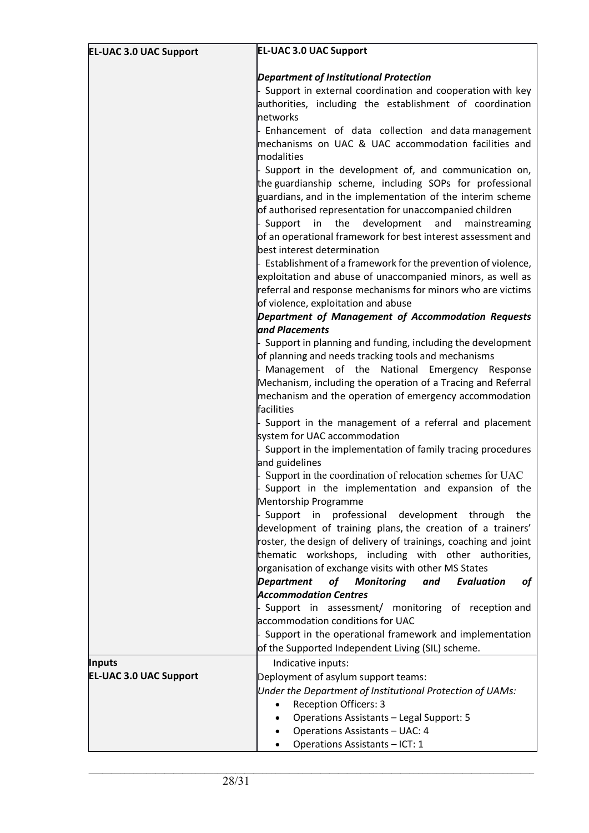| <b>EL-UAC 3.0 UAC Support</b> | <b>EL-UAC 3.0 UAC Support</b>                                                                                   |
|-------------------------------|-----------------------------------------------------------------------------------------------------------------|
|                               | <b>Department of Institutional Protection</b>                                                                   |
|                               | Support in external coordination and cooperation with key                                                       |
|                               | authorities, including the establishment of coordination                                                        |
|                               | networks                                                                                                        |
|                               | - Enhancement of data collection and data management                                                            |
|                               | mechanisms on UAC & UAC accommodation facilities and                                                            |
|                               | <b>modalities</b>                                                                                               |
|                               | - Support in the development of, and communication on,                                                          |
|                               | the guardianship scheme, including SOPs for professional                                                        |
|                               | guardians, and in the implementation of the interim scheme                                                      |
|                               | of authorised representation for unaccompanied children                                                         |
|                               | - Support in the development<br>and<br>mainstreaming                                                            |
|                               | of an operational framework for best interest assessment and<br>best interest determination                     |
|                               | - Establishment of a framework for the prevention of violence,                                                  |
|                               | exploitation and abuse of unaccompanied minors, as well as                                                      |
|                               | referral and response mechanisms for minors who are victims                                                     |
|                               | of violence, exploitation and abuse                                                                             |
|                               | Department of Management of Accommodation Requests                                                              |
|                               | and Placements                                                                                                  |
|                               | - Support in planning and funding, including the development                                                    |
|                               | of planning and needs tracking tools and mechanisms                                                             |
|                               | - Management of the National Emergency Response<br>Mechanism, including the operation of a Tracing and Referral |
|                               | mechanism and the operation of emergency accommodation                                                          |
|                               | facilities                                                                                                      |
|                               | Support in the management of a referral and placement                                                           |
|                               | system for UAC accommodation                                                                                    |
|                               | Support in the implementation of family tracing procedures                                                      |
|                               | and guidelines<br>Support in the coordination of relocation schemes for UAC                                     |
|                               | Support in the implementation and expansion of the<br>Mentorship Programme                                      |
|                               | Support in professional development through<br>the                                                              |
|                               | development of training plans, the creation of a trainers'                                                      |
|                               | roster, the design of delivery of trainings, coaching and joint                                                 |
|                               | thematic workshops, including with other authorities,                                                           |
|                               | organisation of exchange visits with other MS States                                                            |
|                               | <b>Department</b><br>of<br><b>Monitoring</b><br>and<br><b>Evaluation</b><br>οf                                  |
|                               | <b>Accommodation Centres</b>                                                                                    |
|                               | - Support in assessment/ monitoring of reception and                                                            |
|                               | accommodation conditions for UAC                                                                                |
|                               | - Support in the operational framework and implementation                                                       |
|                               | of the Supported Independent Living (SIL) scheme.                                                               |
| <b>Inputs</b>                 | Indicative inputs:                                                                                              |
| <b>EL-UAC 3.0 UAC Support</b> | Deployment of asylum support teams:                                                                             |
|                               | Under the Department of Institutional Protection of UAMs:                                                       |
|                               | <b>Reception Officers: 3</b><br>$\bullet$                                                                       |
|                               | Operations Assistants - Legal Support: 5<br>Operations Assistants - UAC: 4                                      |
|                               | Operations Assistants - ICT: 1                                                                                  |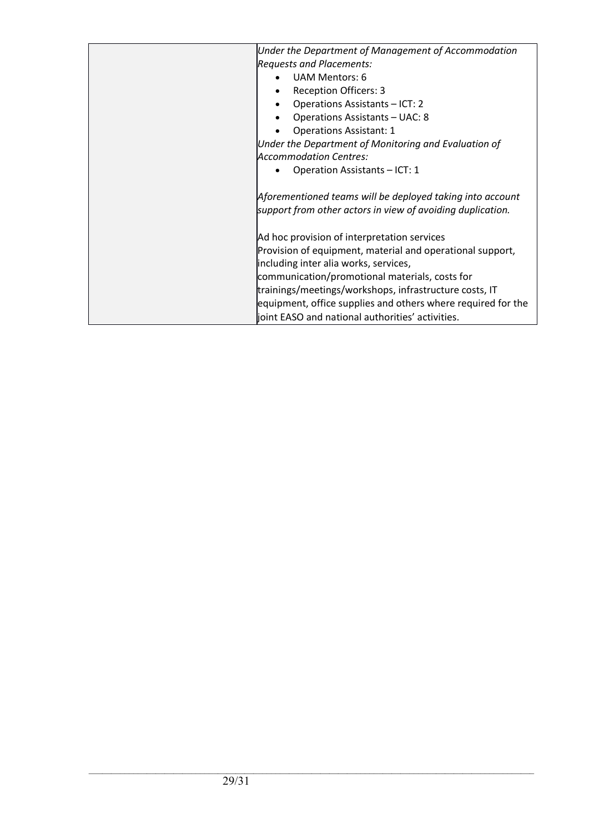| Under the Department of Management of Accommodation          |
|--------------------------------------------------------------|
| <b>Requests and Placements:</b>                              |
| <b>UAM Mentors: 6</b>                                        |
| <b>Reception Officers: 3</b>                                 |
| Operations Assistants - ICT: 2<br>$\bullet$                  |
| Operations Assistants - UAC: 8                               |
| <b>Operations Assistant: 1</b>                               |
| Under the Department of Monitoring and Evaluation of         |
| <b>Accommodation Centres:</b>                                |
| Operation Assistants - ICT: 1                                |
|                                                              |
| Aforementioned teams will be deployed taking into account    |
| support from other actors in view of avoiding duplication.   |
|                                                              |
| Ad hoc provision of interpretation services                  |
| Provision of equipment, material and operational support,    |
| including inter alia works, services,                        |
| communication/promotional materials, costs for               |
| trainings/meetings/workshops, infrastructure costs, IT       |
| equipment, office supplies and others where required for the |
| joint EASO and national authorities' activities.             |
|                                                              |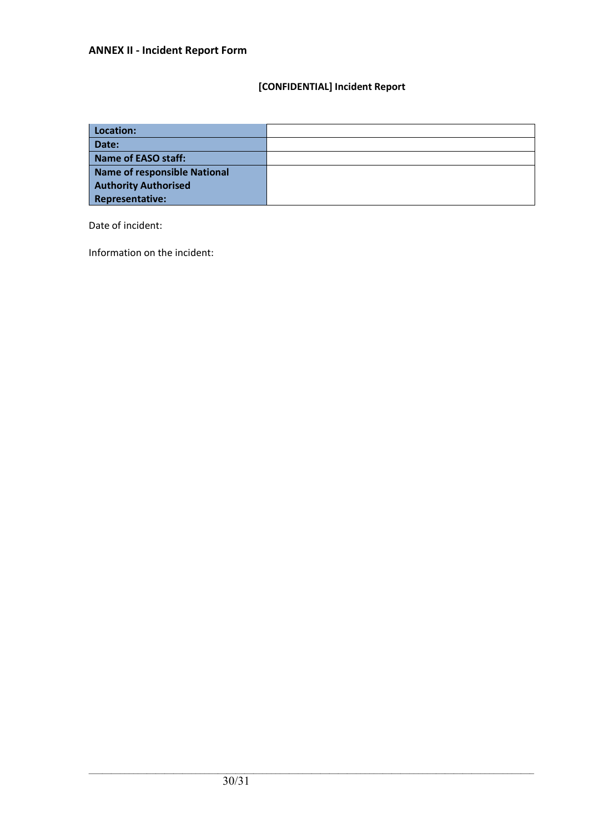## **[CONFIDENTIAL] Incident Report**

| Location:                    |  |
|------------------------------|--|
| Date:                        |  |
| Name of EASO staff:          |  |
| Name of responsible National |  |
| <b>Authority Authorised</b>  |  |
| Representative:              |  |

Date of incident:

Information on the incident: